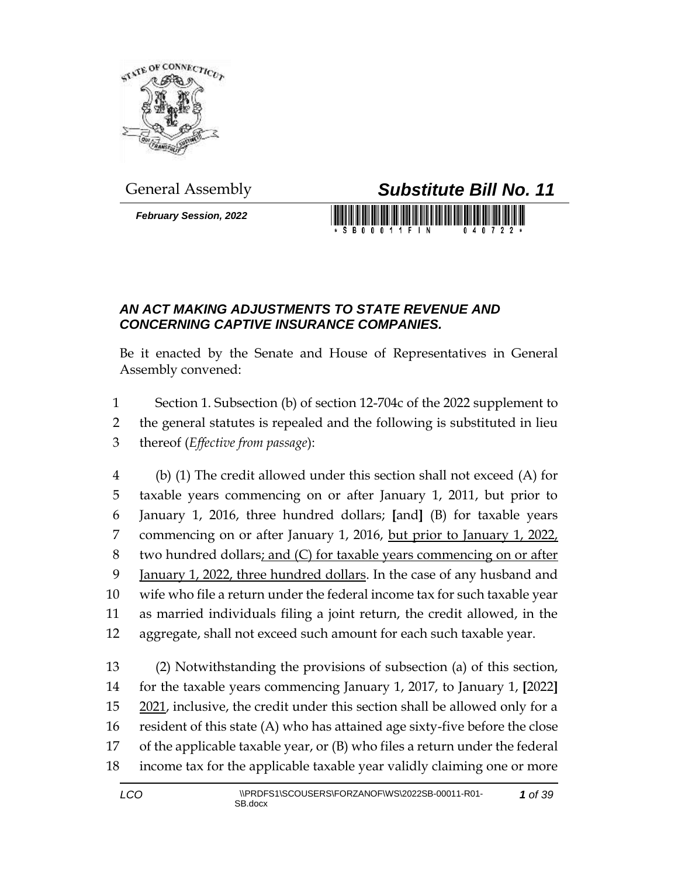

*February Session, 2022*



S B 0 0 0 1 1 F I N

## *AN ACT MAKING ADJUSTMENTS TO STATE REVENUE AND CONCERNING CAPTIVE INSURANCE COMPANIES.*

Be it enacted by the Senate and House of Representatives in General Assembly convened:

 Section 1. Subsection (b) of section 12-704c of the 2022 supplement to the general statutes is repealed and the following is substituted in lieu thereof (*Effective from passage*):

 (b) (1) The credit allowed under this section shall not exceed (A) for taxable years commencing on or after January 1, 2011, but prior to January 1, 2016, three hundred dollars; **[**and**]** (B) for taxable years commencing on or after January 1, 2016, but prior to January 1, 2022, two hundred dollars; and (C) for taxable years commencing on or after January 1, 2022, three hundred dollars. In the case of any husband and wife who file a return under the federal income tax for such taxable year as married individuals filing a joint return, the credit allowed, in the aggregate, shall not exceed such amount for each such taxable year.

 (2) Notwithstanding the provisions of subsection (a) of this section, for the taxable years commencing January 1, 2017, to January 1, **[**2022**]** 2021, inclusive, the credit under this section shall be allowed only for a resident of this state (A) who has attained age sixty-five before the close of the applicable taxable year, or (B) who files a return under the federal income tax for the applicable taxable year validly claiming one or more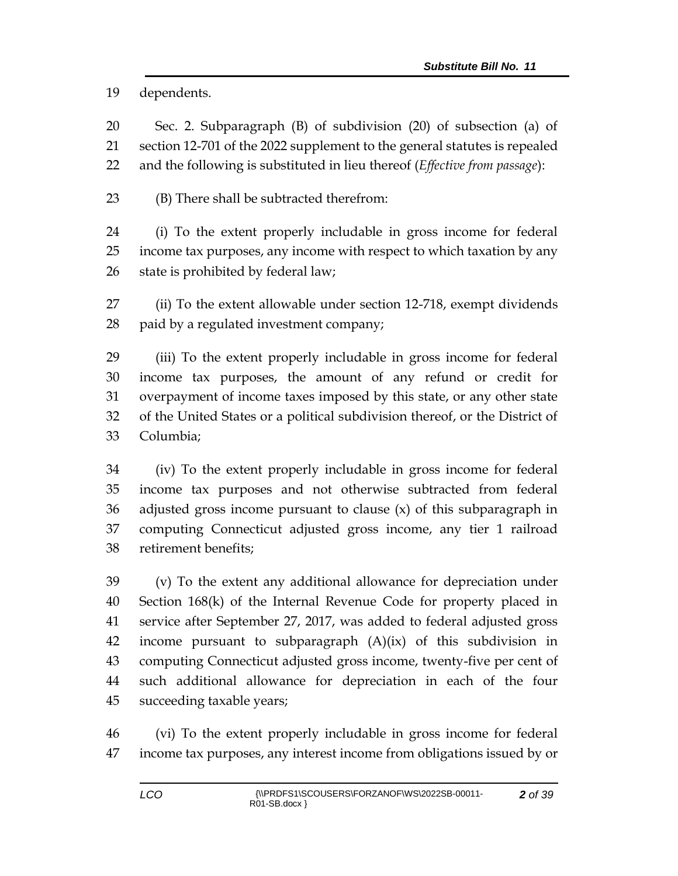dependents.

 Sec. 2. Subparagraph (B) of subdivision (20) of subsection (a) of section 12-701 of the 2022 supplement to the general statutes is repealed and the following is substituted in lieu thereof (*Effective from passage*):

(B) There shall be subtracted therefrom:

 (i) To the extent properly includable in gross income for federal income tax purposes, any income with respect to which taxation by any state is prohibited by federal law;

 (ii) To the extent allowable under section 12-718, exempt dividends paid by a regulated investment company;

 (iii) To the extent properly includable in gross income for federal income tax purposes, the amount of any refund or credit for overpayment of income taxes imposed by this state, or any other state of the United States or a political subdivision thereof, or the District of Columbia;

 (iv) To the extent properly includable in gross income for federal income tax purposes and not otherwise subtracted from federal adjusted gross income pursuant to clause (x) of this subparagraph in computing Connecticut adjusted gross income, any tier 1 railroad retirement benefits;

 (v) To the extent any additional allowance for depreciation under Section 168(k) of the Internal Revenue Code for property placed in service after September 27, 2017, was added to federal adjusted gross income pursuant to subparagraph (A)(ix) of this subdivision in computing Connecticut adjusted gross income, twenty-five per cent of such additional allowance for depreciation in each of the four succeeding taxable years;

 (vi) To the extent properly includable in gross income for federal income tax purposes, any interest income from obligations issued by or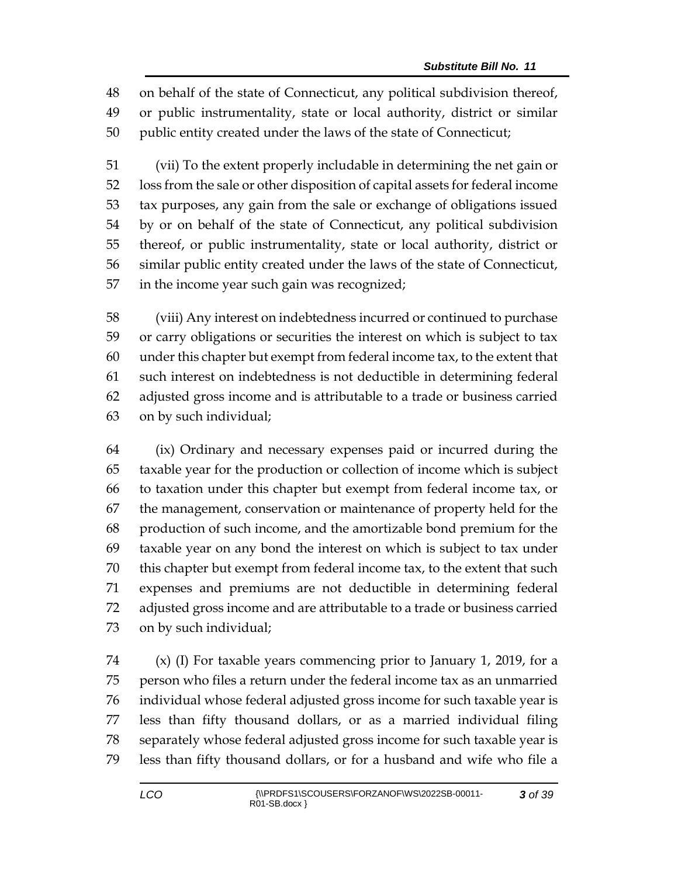on behalf of the state of Connecticut, any political subdivision thereof, or public instrumentality, state or local authority, district or similar public entity created under the laws of the state of Connecticut;

 (vii) To the extent properly includable in determining the net gain or loss from the sale or other disposition of capital assets for federal income tax purposes, any gain from the sale or exchange of obligations issued by or on behalf of the state of Connecticut, any political subdivision thereof, or public instrumentality, state or local authority, district or similar public entity created under the laws of the state of Connecticut, in the income year such gain was recognized;

 (viii) Any interest on indebtedness incurred or continued to purchase or carry obligations or securities the interest on which is subject to tax under this chapter but exempt from federal income tax, to the extent that such interest on indebtedness is not deductible in determining federal adjusted gross income and is attributable to a trade or business carried on by such individual;

 (ix) Ordinary and necessary expenses paid or incurred during the taxable year for the production or collection of income which is subject to taxation under this chapter but exempt from federal income tax, or the management, conservation or maintenance of property held for the production of such income, and the amortizable bond premium for the taxable year on any bond the interest on which is subject to tax under this chapter but exempt from federal income tax, to the extent that such expenses and premiums are not deductible in determining federal adjusted gross income and are attributable to a trade or business carried on by such individual;

 (x) (I) For taxable years commencing prior to January 1, 2019, for a person who files a return under the federal income tax as an unmarried individual whose federal adjusted gross income for such taxable year is less than fifty thousand dollars, or as a married individual filing separately whose federal adjusted gross income for such taxable year is less than fifty thousand dollars, or for a husband and wife who file a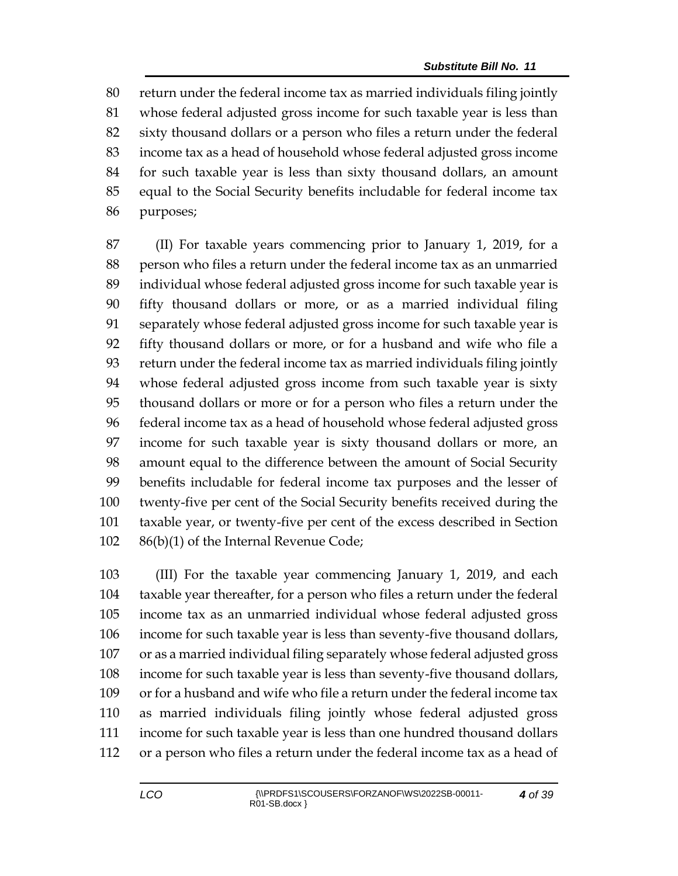return under the federal income tax as married individuals filing jointly whose federal adjusted gross income for such taxable year is less than sixty thousand dollars or a person who files a return under the federal income tax as a head of household whose federal adjusted gross income for such taxable year is less than sixty thousand dollars, an amount equal to the Social Security benefits includable for federal income tax purposes;

 (II) For taxable years commencing prior to January 1, 2019, for a person who files a return under the federal income tax as an unmarried individual whose federal adjusted gross income for such taxable year is fifty thousand dollars or more, or as a married individual filing separately whose federal adjusted gross income for such taxable year is fifty thousand dollars or more, or for a husband and wife who file a return under the federal income tax as married individuals filing jointly whose federal adjusted gross income from such taxable year is sixty thousand dollars or more or for a person who files a return under the federal income tax as a head of household whose federal adjusted gross income for such taxable year is sixty thousand dollars or more, an amount equal to the difference between the amount of Social Security benefits includable for federal income tax purposes and the lesser of twenty-five per cent of the Social Security benefits received during the taxable year, or twenty-five per cent of the excess described in Section 86(b)(1) of the Internal Revenue Code;

 (III) For the taxable year commencing January 1, 2019, and each taxable year thereafter, for a person who files a return under the federal income tax as an unmarried individual whose federal adjusted gross income for such taxable year is less than seventy-five thousand dollars, or as a married individual filing separately whose federal adjusted gross income for such taxable year is less than seventy-five thousand dollars, or for a husband and wife who file a return under the federal income tax as married individuals filing jointly whose federal adjusted gross income for such taxable year is less than one hundred thousand dollars or a person who files a return under the federal income tax as a head of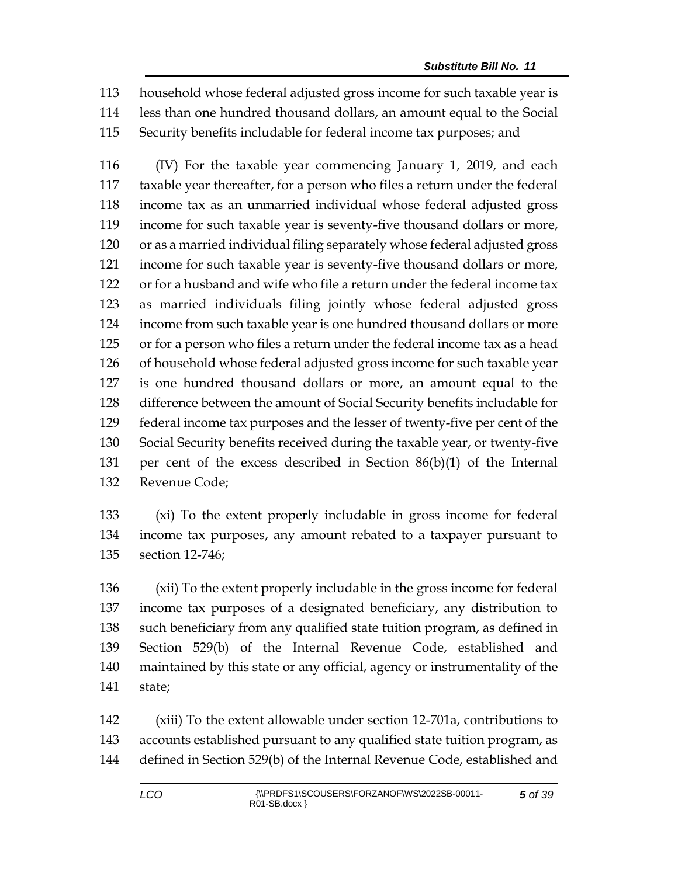household whose federal adjusted gross income for such taxable year is less than one hundred thousand dollars, an amount equal to the Social Security benefits includable for federal income tax purposes; and

 (IV) For the taxable year commencing January 1, 2019, and each taxable year thereafter, for a person who files a return under the federal income tax as an unmarried individual whose federal adjusted gross income for such taxable year is seventy-five thousand dollars or more, or as a married individual filing separately whose federal adjusted gross income for such taxable year is seventy-five thousand dollars or more, or for a husband and wife who file a return under the federal income tax as married individuals filing jointly whose federal adjusted gross income from such taxable year is one hundred thousand dollars or more or for a person who files a return under the federal income tax as a head of household whose federal adjusted gross income for such taxable year is one hundred thousand dollars or more, an amount equal to the difference between the amount of Social Security benefits includable for federal income tax purposes and the lesser of twenty-five per cent of the Social Security benefits received during the taxable year, or twenty-five per cent of the excess described in Section 86(b)(1) of the Internal Revenue Code;

 (xi) To the extent properly includable in gross income for federal income tax purposes, any amount rebated to a taxpayer pursuant to section 12-746;

 (xii) To the extent properly includable in the gross income for federal income tax purposes of a designated beneficiary, any distribution to such beneficiary from any qualified state tuition program, as defined in Section 529(b) of the Internal Revenue Code, established and maintained by this state or any official, agency or instrumentality of the state;

 (xiii) To the extent allowable under section 12-701a, contributions to accounts established pursuant to any qualified state tuition program, as defined in Section 529(b) of the Internal Revenue Code, established and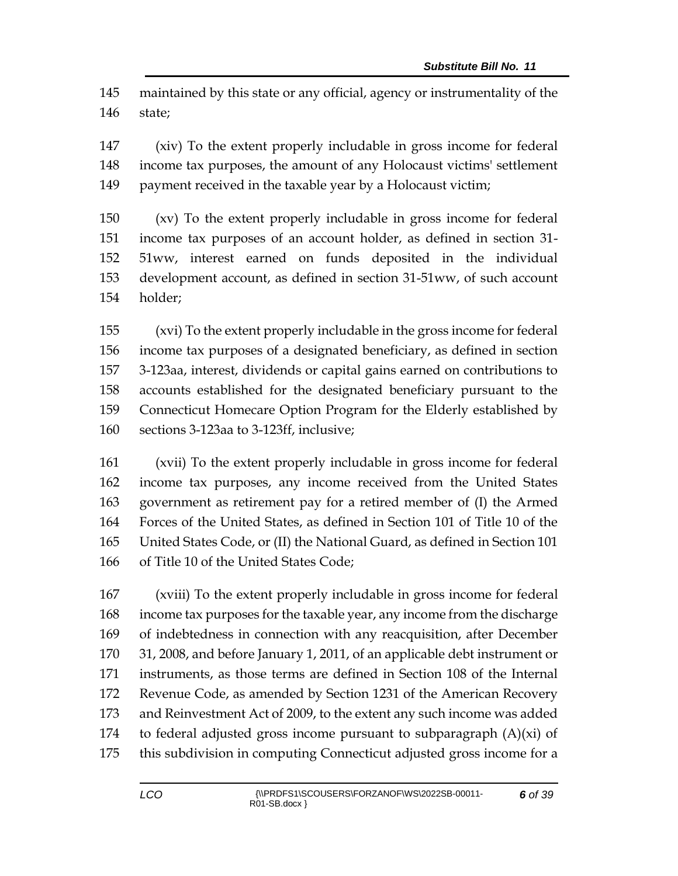maintained by this state or any official, agency or instrumentality of the state;

 (xiv) To the extent properly includable in gross income for federal income tax purposes, the amount of any Holocaust victims' settlement 149 payment received in the taxable year by a Holocaust victim;

 (xv) To the extent properly includable in gross income for federal income tax purposes of an account holder, as defined in section 31- 51ww, interest earned on funds deposited in the individual development account, as defined in section 31-51ww, of such account holder;

 (xvi) To the extent properly includable in the gross income for federal income tax purposes of a designated beneficiary, as defined in section 3-123aa, interest, dividends or capital gains earned on contributions to accounts established for the designated beneficiary pursuant to the Connecticut Homecare Option Program for the Elderly established by sections 3-123aa to 3-123ff, inclusive;

 (xvii) To the extent properly includable in gross income for federal income tax purposes, any income received from the United States government as retirement pay for a retired member of (I) the Armed Forces of the United States, as defined in Section 101 of Title 10 of the United States Code, or (II) the National Guard, as defined in Section 101 of Title 10 of the United States Code;

 (xviii) To the extent properly includable in gross income for federal income tax purposes for the taxable year, any income from the discharge of indebtedness in connection with any reacquisition, after December 31, 2008, and before January 1, 2011, of an applicable debt instrument or instruments, as those terms are defined in Section 108 of the Internal Revenue Code, as amended by Section 1231 of the American Recovery and Reinvestment Act of 2009, to the extent any such income was added 174 to federal adjusted gross income pursuant to subparagraph  $(A)(xi)$  of this subdivision in computing Connecticut adjusted gross income for a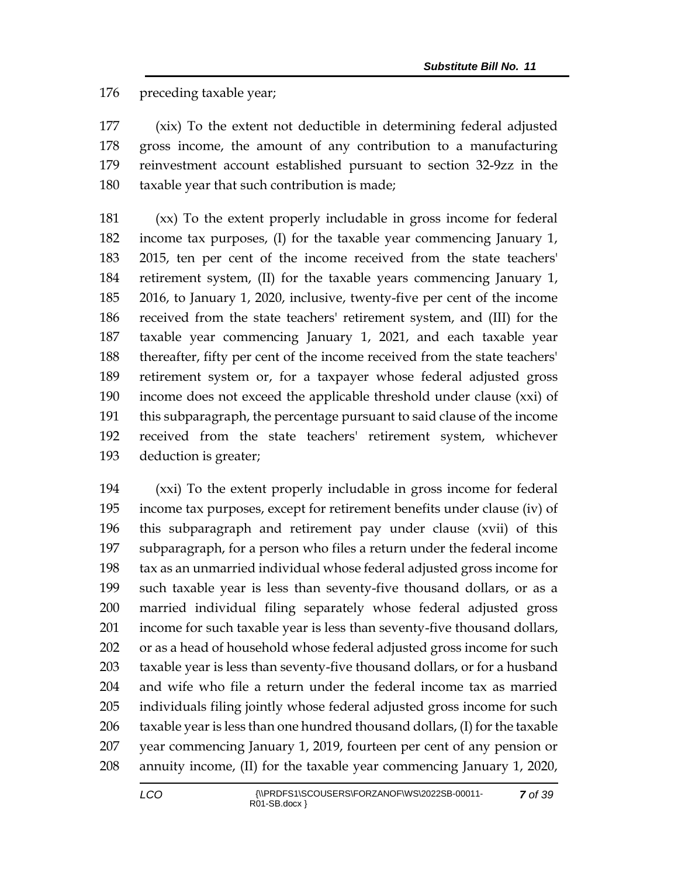preceding taxable year;

 (xix) To the extent not deductible in determining federal adjusted gross income, the amount of any contribution to a manufacturing reinvestment account established pursuant to section 32-9zz in the taxable year that such contribution is made;

 (xx) To the extent properly includable in gross income for federal income tax purposes, (I) for the taxable year commencing January 1, 2015, ten per cent of the income received from the state teachers' retirement system, (II) for the taxable years commencing January 1, 2016, to January 1, 2020, inclusive, twenty-five per cent of the income received from the state teachers' retirement system, and (III) for the taxable year commencing January 1, 2021, and each taxable year thereafter, fifty per cent of the income received from the state teachers' retirement system or, for a taxpayer whose federal adjusted gross income does not exceed the applicable threshold under clause (xxi) of this subparagraph, the percentage pursuant to said clause of the income received from the state teachers' retirement system, whichever deduction is greater;

 (xxi) To the extent properly includable in gross income for federal income tax purposes, except for retirement benefits under clause (iv) of this subparagraph and retirement pay under clause (xvii) of this subparagraph, for a person who files a return under the federal income tax as an unmarried individual whose federal adjusted gross income for such taxable year is less than seventy-five thousand dollars, or as a married individual filing separately whose federal adjusted gross income for such taxable year is less than seventy-five thousand dollars, or as a head of household whose federal adjusted gross income for such taxable year is less than seventy-five thousand dollars, or for a husband and wife who file a return under the federal income tax as married individuals filing jointly whose federal adjusted gross income for such taxable year is less than one hundred thousand dollars, (I) for the taxable year commencing January 1, 2019, fourteen per cent of any pension or annuity income, (II) for the taxable year commencing January 1, 2020,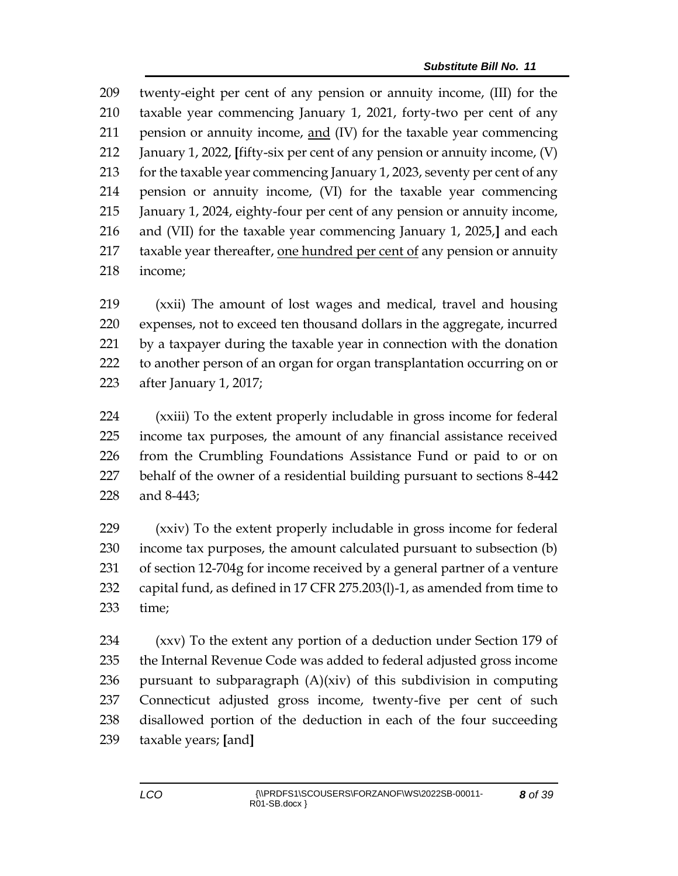twenty-eight per cent of any pension or annuity income, (III) for the taxable year commencing January 1, 2021, forty-two per cent of any pension or annuity income, and (IV) for the taxable year commencing January 1, 2022, **[**fifty-six per cent of any pension or annuity income, (V) for the taxable year commencing January 1, 2023, seventy per cent of any pension or annuity income, (VI) for the taxable year commencing January 1, 2024, eighty-four per cent of any pension or annuity income, and (VII) for the taxable year commencing January 1, 2025,**]** and each taxable year thereafter, one hundred per cent of any pension or annuity income;

 (xxii) The amount of lost wages and medical, travel and housing expenses, not to exceed ten thousand dollars in the aggregate, incurred by a taxpayer during the taxable year in connection with the donation to another person of an organ for organ transplantation occurring on or after January 1, 2017;

 (xxiii) To the extent properly includable in gross income for federal income tax purposes, the amount of any financial assistance received from the Crumbling Foundations Assistance Fund or paid to or on behalf of the owner of a residential building pursuant to sections 8-442 and 8-443;

 (xxiv) To the extent properly includable in gross income for federal income tax purposes, the amount calculated pursuant to subsection (b) of section 12-704g for income received by a general partner of a venture capital fund, as defined in 17 CFR 275.203(l)-1, as amended from time to time;

 (xxv) To the extent any portion of a deduction under Section 179 of the Internal Revenue Code was added to federal adjusted gross income pursuant to subparagraph (A)(xiv) of this subdivision in computing Connecticut adjusted gross income, twenty-five per cent of such disallowed portion of the deduction in each of the four succeeding taxable years; **[**and**]**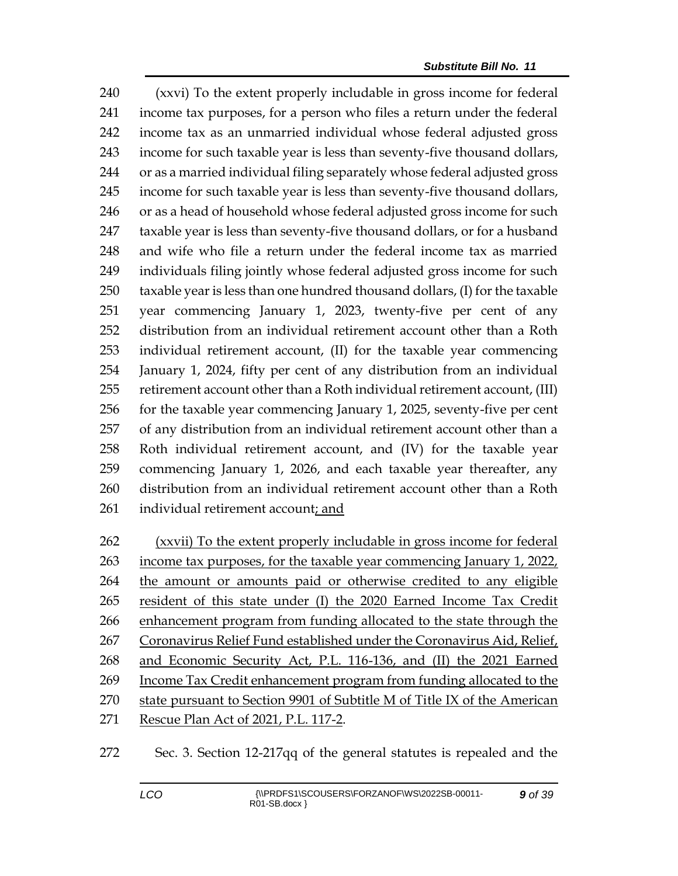(xxvi) To the extent properly includable in gross income for federal income tax purposes, for a person who files a return under the federal income tax as an unmarried individual whose federal adjusted gross income for such taxable year is less than seventy-five thousand dollars, or as a married individual filing separately whose federal adjusted gross income for such taxable year is less than seventy-five thousand dollars, 246 or as a head of household whose federal adjusted gross income for such taxable year is less than seventy-five thousand dollars, or for a husband and wife who file a return under the federal income tax as married individuals filing jointly whose federal adjusted gross income for such taxable year is less than one hundred thousand dollars, (I) for the taxable year commencing January 1, 2023, twenty-five per cent of any distribution from an individual retirement account other than a Roth individual retirement account, (II) for the taxable year commencing January 1, 2024, fifty per cent of any distribution from an individual retirement account other than a Roth individual retirement account, (III) for the taxable year commencing January 1, 2025, seventy-five per cent of any distribution from an individual retirement account other than a Roth individual retirement account, and (IV) for the taxable year commencing January 1, 2026, and each taxable year thereafter, any distribution from an individual retirement account other than a Roth individual retirement account; and

 (xxvii) To the extent properly includable in gross income for federal income tax purposes, for the taxable year commencing January 1, 2022, the amount or amounts paid or otherwise credited to any eligible resident of this state under (I) the 2020 Earned Income Tax Credit enhancement program from funding allocated to the state through the Coronavirus Relief Fund established under the Coronavirus Aid, Relief, and Economic Security Act, P.L. 116-136, and (II) the 2021 Earned Income Tax Credit enhancement program from funding allocated to the state pursuant to Section 9901 of Subtitle M of Title IX of the American Rescue Plan Act of 2021, P.L. 117-2.

## Sec. 3. Section 12-217qq of the general statutes is repealed and the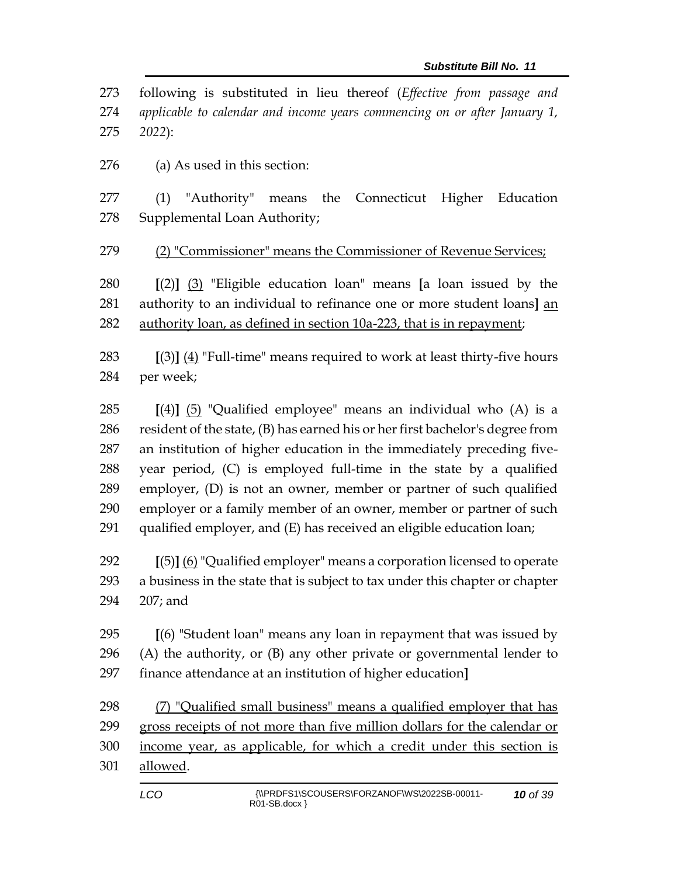following is substituted in lieu thereof (*Effective from passage and applicable to calendar and income years commencing on or after January 1, 2022*):

(a) As used in this section:

 (1) "Authority" means the Connecticut Higher Education Supplemental Loan Authority;

279 (2) "Commissioner" means the Commissioner of Revenue Services;

 **[**(2)**]** (3) "Eligible education loan" means **[**a loan issued by the authority to an individual to refinance one or more student loans**]** an authority loan, as defined in section 10a-223, that is in repayment;

 **[**(3)**]** (4) "Full-time" means required to work at least thirty-five hours per week;

 **[**(4)**]** (5) "Qualified employee" means an individual who (A) is a resident of the state, (B) has earned his or her first bachelor's degree from an institution of higher education in the immediately preceding five- year period, (C) is employed full-time in the state by a qualified employer, (D) is not an owner, member or partner of such qualified employer or a family member of an owner, member or partner of such qualified employer, and (E) has received an eligible education loan;

 **[**(5)**]** (6) "Qualified employer" means a corporation licensed to operate a business in the state that is subject to tax under this chapter or chapter 207; and

 **[**(6) "Student loan" means any loan in repayment that was issued by 296 (A) the authority, or  $(B)$  any other private or governmental lender to finance attendance at an institution of higher education**]**

 (7) "Qualified small business" means a qualified employer that has gross receipts of not more than five million dollars for the calendar or income year, as applicable, for which a credit under this section is allowed.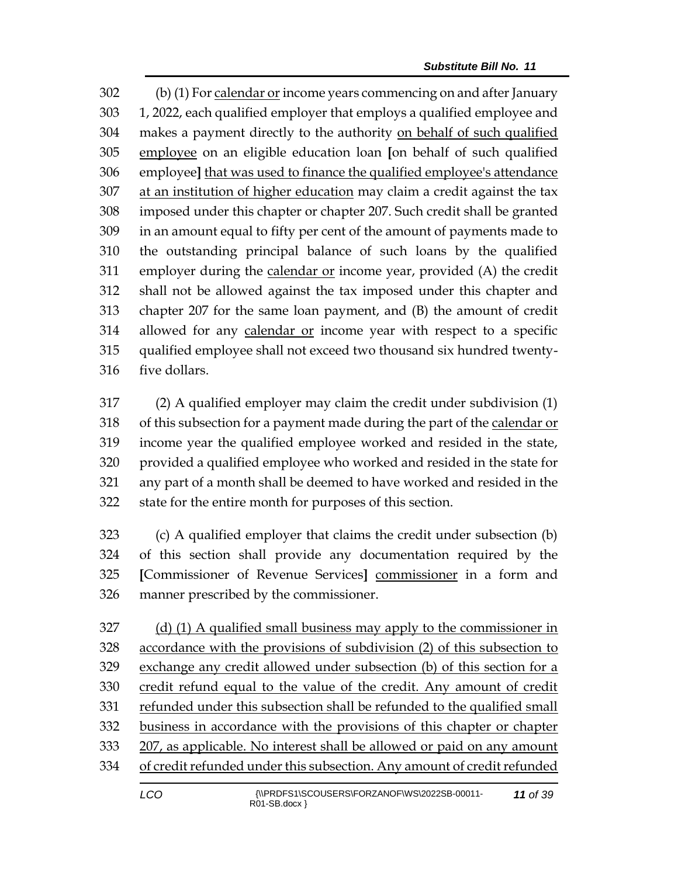(b) (1) For calendar or income years commencing on and after January 1, 2022, each qualified employer that employs a qualified employee and makes a payment directly to the authority on behalf of such qualified employee on an eligible education loan **[**on behalf of such qualified employee**]** that was used to finance the qualified employee's attendance at an institution of higher education may claim a credit against the tax imposed under this chapter or chapter 207. Such credit shall be granted in an amount equal to fifty per cent of the amount of payments made to the outstanding principal balance of such loans by the qualified employer during the calendar or income year, provided (A) the credit shall not be allowed against the tax imposed under this chapter and chapter 207 for the same loan payment, and (B) the amount of credit 314 allowed for any calendar or income year with respect to a specific qualified employee shall not exceed two thousand six hundred twenty-five dollars.

 (2) A qualified employer may claim the credit under subdivision (1) of this subsection for a payment made during the part of the calendar or income year the qualified employee worked and resided in the state, provided a qualified employee who worked and resided in the state for any part of a month shall be deemed to have worked and resided in the state for the entire month for purposes of this section.

 (c) A qualified employer that claims the credit under subsection (b) of this section shall provide any documentation required by the **[**Commissioner of Revenue Services**]** commissioner in a form and manner prescribed by the commissioner.

 (d) (1) A qualified small business may apply to the commissioner in accordance with the provisions of subdivision (2) of this subsection to exchange any credit allowed under subsection (b) of this section for a credit refund equal to the value of the credit. Any amount of credit refunded under this subsection shall be refunded to the qualified small business in accordance with the provisions of this chapter or chapter 207, as applicable. No interest shall be allowed or paid on any amount of credit refunded under this subsection. Any amount of credit refunded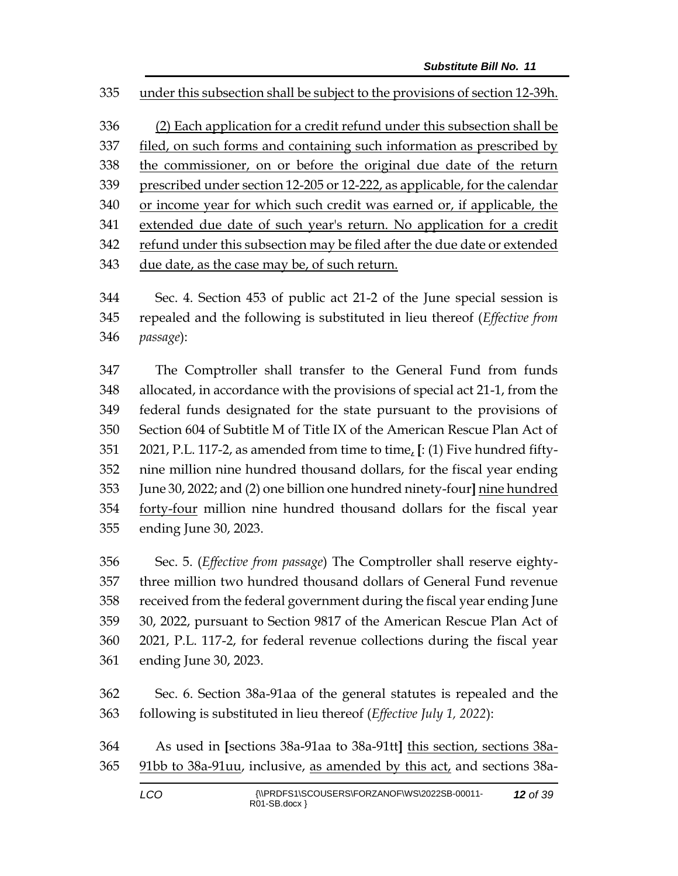under this subsection shall be subject to the provisions of section 12-39h.

 (2) Each application for a credit refund under this subsection shall be filed, on such forms and containing such information as prescribed by the commissioner, on or before the original due date of the return prescribed under section 12-205 or 12-222, as applicable, for the calendar or income year for which such credit was earned or, if applicable, the extended due date of such year's return. No application for a credit refund under this subsection may be filed after the due date or extended 343 due date, as the case may be, of such return.

 Sec. 4. Section 453 of public act 21-2 of the June special session is repealed and the following is substituted in lieu thereof (*Effective from passage*):

 The Comptroller shall transfer to the General Fund from funds allocated, in accordance with the provisions of special act 21-1, from the federal funds designated for the state pursuant to the provisions of Section 604 of Subtitle M of Title IX of the American Rescue Plan Act of 2021, P.L. 117-2, as amended from time to time, **[**: (1) Five hundred fifty- nine million nine hundred thousand dollars, for the fiscal year ending June 30, 2022; and (2) one billion one hundred ninety-four**]** nine hundred forty-four million nine hundred thousand dollars for the fiscal year ending June 30, 2023.

 Sec. 5. (*Effective from passage*) The Comptroller shall reserve eighty- three million two hundred thousand dollars of General Fund revenue received from the federal government during the fiscal year ending June 30, 2022, pursuant to Section 9817 of the American Rescue Plan Act of 2021, P.L. 117-2, for federal revenue collections during the fiscal year ending June 30, 2023.

 Sec. 6. Section 38a-91aa of the general statutes is repealed and the following is substituted in lieu thereof (*Effective July 1, 2022*):

 As used in **[**sections 38a-91aa to 38a-91tt**]** this section, sections 38a-91bb to 38a-91uu, inclusive, as amended by this act, and sections 38a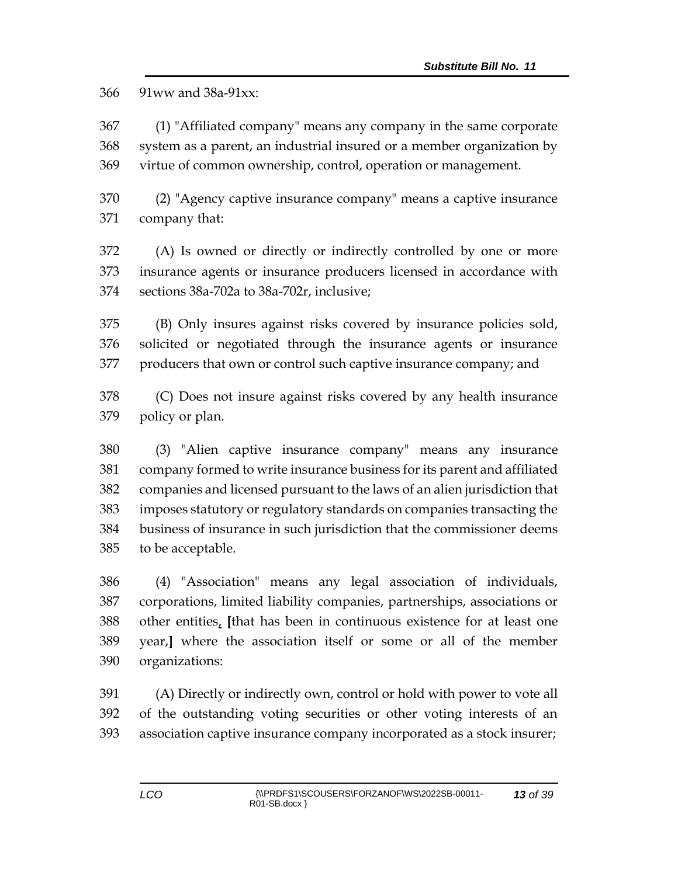91ww and 38a-91xx:

 (1) "Affiliated company" means any company in the same corporate system as a parent, an industrial insured or a member organization by virtue of common ownership, control, operation or management.

 (2) "Agency captive insurance company" means a captive insurance company that:

 (A) Is owned or directly or indirectly controlled by one or more insurance agents or insurance producers licensed in accordance with sections 38a-702a to 38a-702r, inclusive;

 (B) Only insures against risks covered by insurance policies sold, solicited or negotiated through the insurance agents or insurance producers that own or control such captive insurance company; and

 (C) Does not insure against risks covered by any health insurance policy or plan.

 (3) "Alien captive insurance company" means any insurance company formed to write insurance business for its parent and affiliated companies and licensed pursuant to the laws of an alien jurisdiction that imposes statutory or regulatory standards on companies transacting the business of insurance in such jurisdiction that the commissioner deems to be acceptable.

 (4) "Association" means any legal association of individuals, corporations, limited liability companies, partnerships, associations or other entities, **[**that has been in continuous existence for at least one year,**]** where the association itself or some or all of the member organizations:

 (A) Directly or indirectly own, control or hold with power to vote all of the outstanding voting securities or other voting interests of an association captive insurance company incorporated as a stock insurer;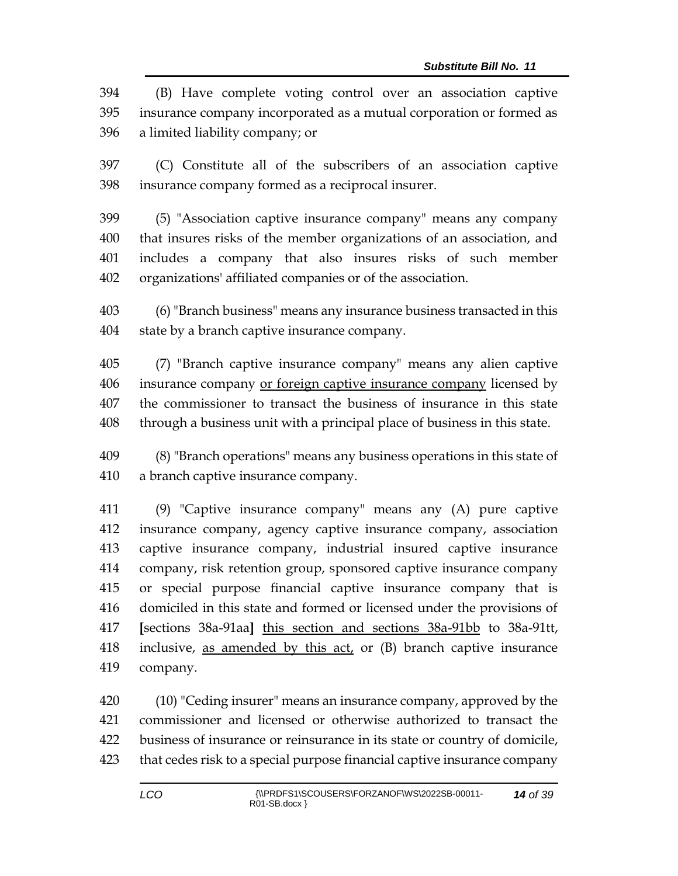| 394 | (B) Have complete voting control over an association captive            |
|-----|-------------------------------------------------------------------------|
|     | 395 insurance company incorporated as a mutual corporation or formed as |
|     | 396 a limited liability company; or                                     |

 (C) Constitute all of the subscribers of an association captive insurance company formed as a reciprocal insurer.

 (5) "Association captive insurance company" means any company that insures risks of the member organizations of an association, and includes a company that also insures risks of such member organizations' affiliated companies or of the association.

 (6) "Branch business" means any insurance business transacted in this state by a branch captive insurance company.

 (7) "Branch captive insurance company" means any alien captive insurance company or foreign captive insurance company licensed by the commissioner to transact the business of insurance in this state through a business unit with a principal place of business in this state.

 (8) "Branch operations" means any business operations in this state of a branch captive insurance company.

 (9) "Captive insurance company" means any (A) pure captive insurance company, agency captive insurance company, association captive insurance company, industrial insured captive insurance company, risk retention group, sponsored captive insurance company or special purpose financial captive insurance company that is domiciled in this state and formed or licensed under the provisions of **[**sections 38a-91aa**]** this section and sections 38a-91bb to 38a-91tt, 418 inclusive, as amended by this  $act<sub>t</sub>$  or (B) branch captive insurance company.

 (10) "Ceding insurer" means an insurance company, approved by the commissioner and licensed or otherwise authorized to transact the business of insurance or reinsurance in its state or country of domicile, that cedes risk to a special purpose financial captive insurance company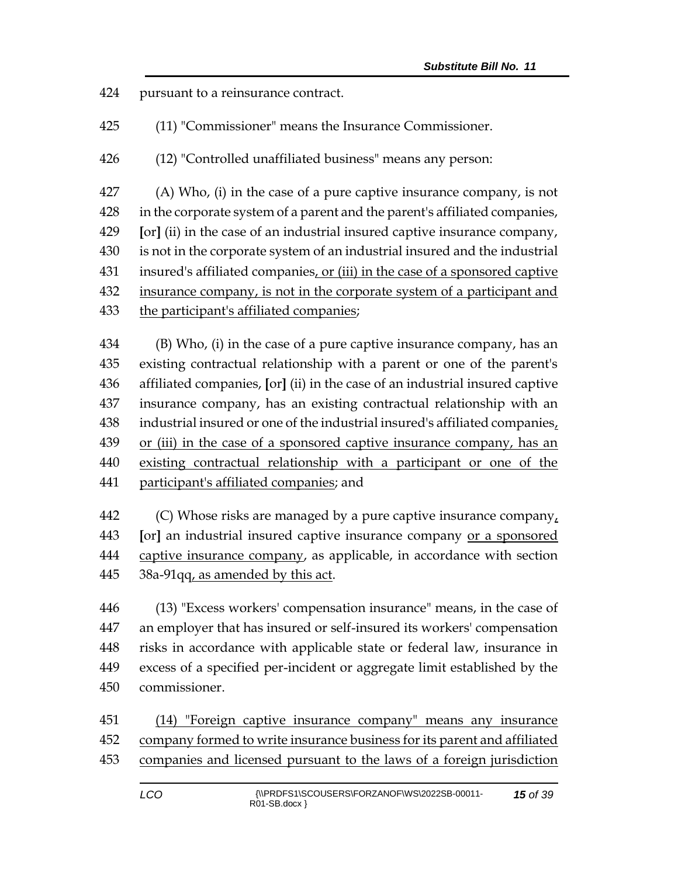pursuant to a reinsurance contract.

(11) "Commissioner" means the Insurance Commissioner.

(12) "Controlled unaffiliated business" means any person:

 (A) Who, (i) in the case of a pure captive insurance company, is not in the corporate system of a parent and the parent's affiliated companies, **[**or**]** (ii) in the case of an industrial insured captive insurance company, is not in the corporate system of an industrial insured and the industrial 431 insured's affiliated companies, or (iii) in the case of a sponsored captive 432 insurance company, is not in the corporate system of a participant and the participant's affiliated companies;

 (B) Who, (i) in the case of a pure captive insurance company, has an existing contractual relationship with a parent or one of the parent's affiliated companies, **[**or**]** (ii) in the case of an industrial insured captive insurance company, has an existing contractual relationship with an industrial insured or one of the industrial insured's affiliated companies, or (iii) in the case of a sponsored captive insurance company, has an existing contractual relationship with a participant or one of the participant's affiliated companies; and

 (C) Whose risks are managed by a pure captive insurance company, **[**or**]** an industrial insured captive insurance company or a sponsored captive insurance company, as applicable, in accordance with section 38a-91qq, as amended by this act.

 (13) "Excess workers' compensation insurance" means, in the case of an employer that has insured or self-insured its workers' compensation risks in accordance with applicable state or federal law, insurance in excess of a specified per-incident or aggregate limit established by the commissioner.

451 (14) "Foreign captive insurance company" means any insurance company formed to write insurance business for its parent and affiliated companies and licensed pursuant to the laws of a foreign jurisdiction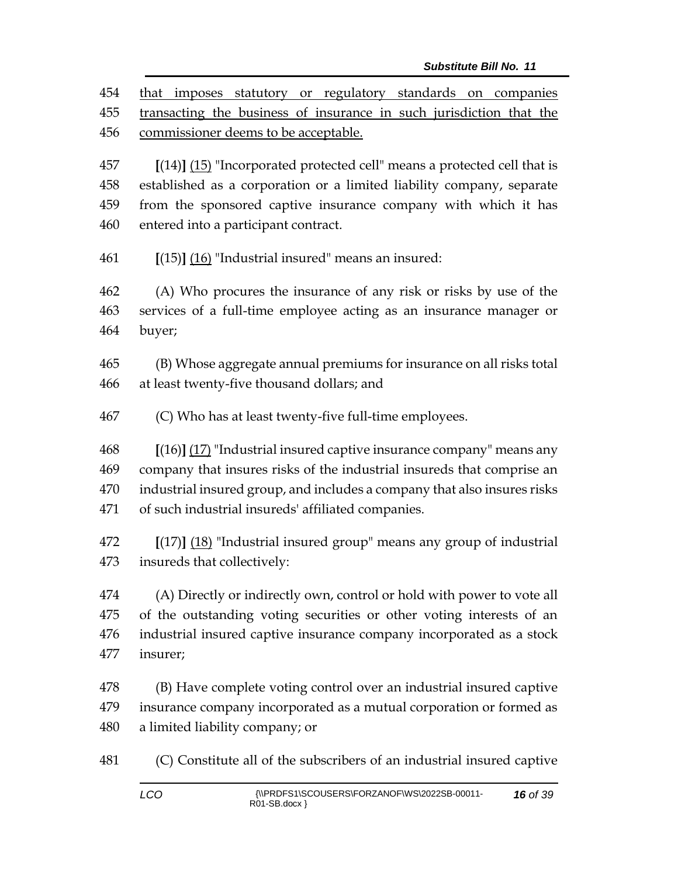that imposes statutory or regulatory standards on companies transacting the business of insurance in such jurisdiction that the commissioner deems to be acceptable.

 **[**(14)**]** (15) "Incorporated protected cell" means a protected cell that is established as a corporation or a limited liability company, separate from the sponsored captive insurance company with which it has entered into a participant contract.

**[**(15)**]** (16) "Industrial insured" means an insured:

 (A) Who procures the insurance of any risk or risks by use of the services of a full-time employee acting as an insurance manager or buyer;

 (B) Whose aggregate annual premiums for insurance on all risks total at least twenty-five thousand dollars; and

(C) Who has at least twenty-five full-time employees.

 **[**(16)**]** (17) "Industrial insured captive insurance company" means any company that insures risks of the industrial insureds that comprise an industrial insured group, and includes a company that also insures risks of such industrial insureds' affiliated companies.

 **[**(17)**]** (18) "Industrial insured group" means any group of industrial insureds that collectively:

 (A) Directly or indirectly own, control or hold with power to vote all of the outstanding voting securities or other voting interests of an industrial insured captive insurance company incorporated as a stock insurer;

 (B) Have complete voting control over an industrial insured captive insurance company incorporated as a mutual corporation or formed as a limited liability company; or

(C) Constitute all of the subscribers of an industrial insured captive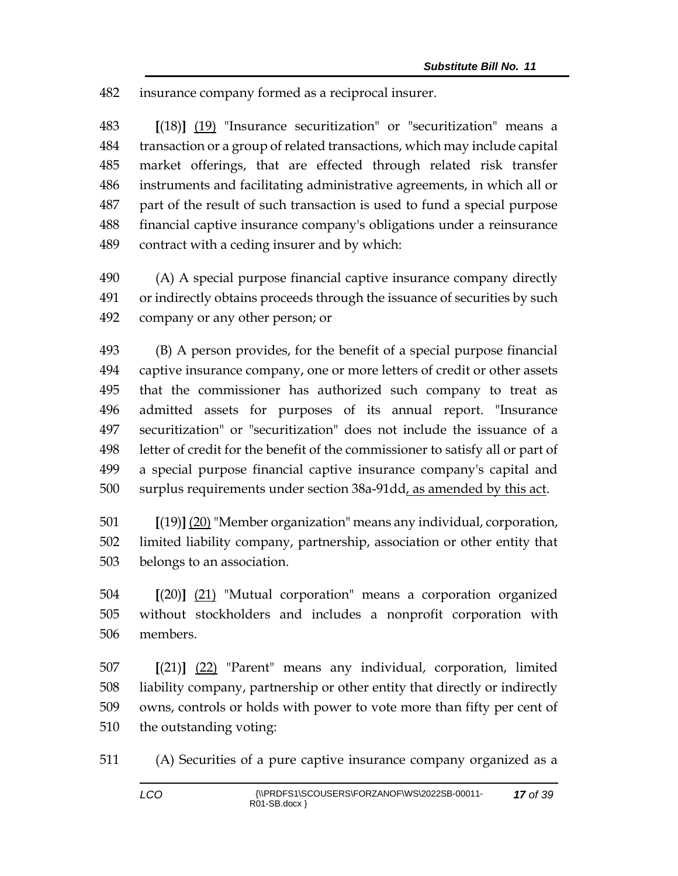insurance company formed as a reciprocal insurer.

 **[**(18)**]** (19) "Insurance securitization" or "securitization" means a transaction or a group of related transactions, which may include capital market offerings, that are effected through related risk transfer instruments and facilitating administrative agreements, in which all or part of the result of such transaction is used to fund a special purpose financial captive insurance company's obligations under a reinsurance contract with a ceding insurer and by which:

 (A) A special purpose financial captive insurance company directly or indirectly obtains proceeds through the issuance of securities by such company or any other person; or

 (B) A person provides, for the benefit of a special purpose financial captive insurance company, one or more letters of credit or other assets that the commissioner has authorized such company to treat as admitted assets for purposes of its annual report. "Insurance securitization" or "securitization" does not include the issuance of a letter of credit for the benefit of the commissioner to satisfy all or part of a special purpose financial captive insurance company's capital and surplus requirements under section 38a-91dd, as amended by this act.

 **[**(19)**]** (20) "Member organization" means any individual, corporation, limited liability company, partnership, association or other entity that belongs to an association.

 **[**(20)**]** (21) "Mutual corporation" means a corporation organized without stockholders and includes a nonprofit corporation with members.

 **[**(21)**]** (22) "Parent" means any individual, corporation, limited liability company, partnership or other entity that directly or indirectly owns, controls or holds with power to vote more than fifty per cent of the outstanding voting:

(A) Securities of a pure captive insurance company organized as a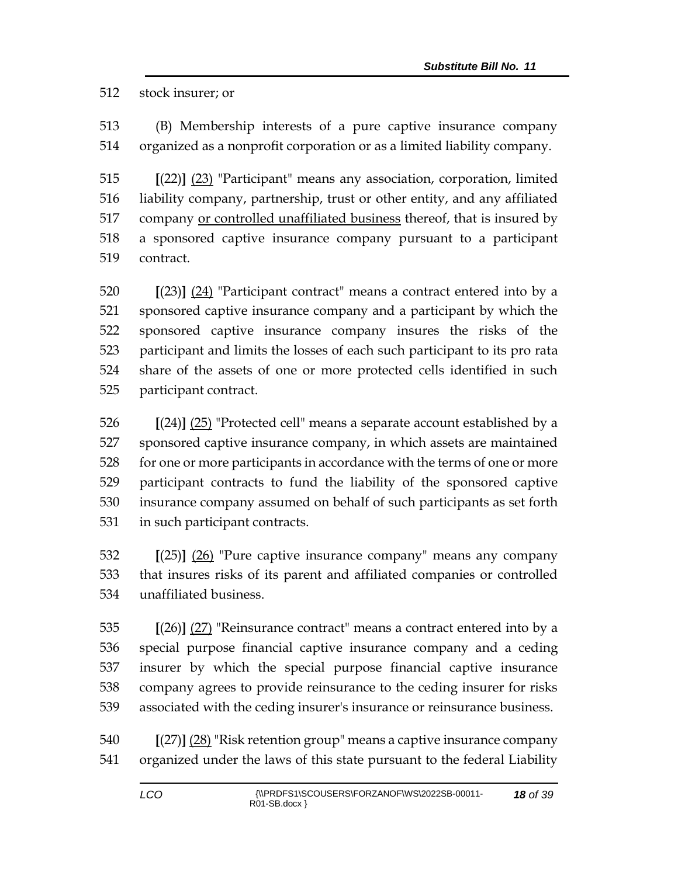stock insurer; or

 (B) Membership interests of a pure captive insurance company organized as a nonprofit corporation or as a limited liability company.

 **[**(22)**]** (23) "Participant" means any association, corporation, limited liability company, partnership, trust or other entity, and any affiliated 517 company <u>or controlled unaffiliated business</u> thereof, that is insured by a sponsored captive insurance company pursuant to a participant contract.

 **[**(23)**]** (24) "Participant contract" means a contract entered into by a sponsored captive insurance company and a participant by which the sponsored captive insurance company insures the risks of the participant and limits the losses of each such participant to its pro rata share of the assets of one or more protected cells identified in such participant contract.

 **[**(24)**]** (25) "Protected cell" means a separate account established by a sponsored captive insurance company, in which assets are maintained for one or more participants in accordance with the terms of one or more participant contracts to fund the liability of the sponsored captive insurance company assumed on behalf of such participants as set forth in such participant contracts.

 **[**(25)**]** (26) "Pure captive insurance company" means any company that insures risks of its parent and affiliated companies or controlled unaffiliated business.

 **[**(26)**]** (27) "Reinsurance contract" means a contract entered into by a special purpose financial captive insurance company and a ceding insurer by which the special purpose financial captive insurance company agrees to provide reinsurance to the ceding insurer for risks associated with the ceding insurer's insurance or reinsurance business.

 **[**(27)**]** (28) "Risk retention group" means a captive insurance company organized under the laws of this state pursuant to the federal Liability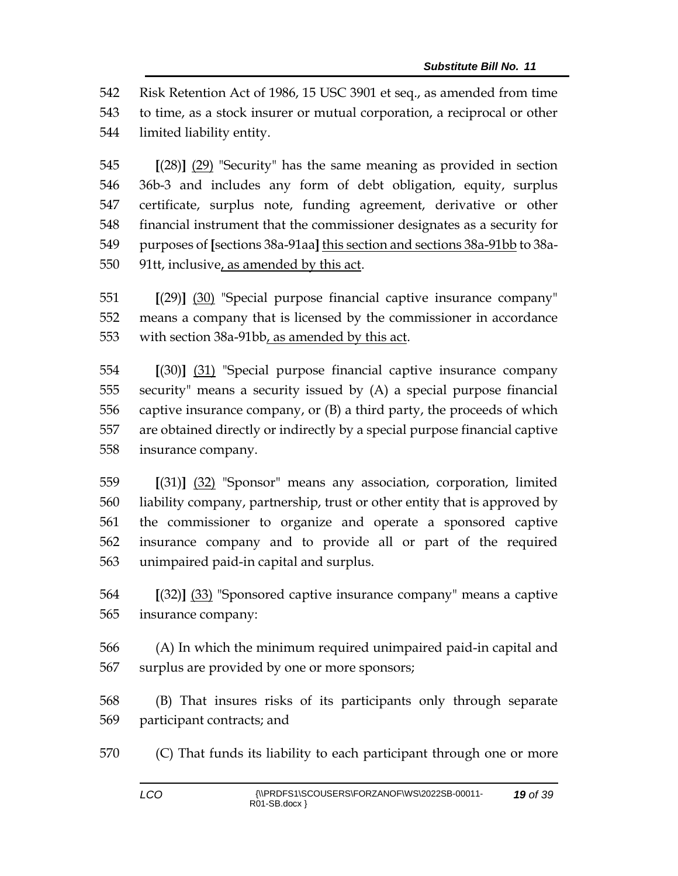Risk Retention Act of 1986, 15 USC 3901 et seq., as amended from time to time, as a stock insurer or mutual corporation, a reciprocal or other limited liability entity.

 **[**(28)**]** (29) "Security" has the same meaning as provided in section 36b-3 and includes any form of debt obligation, equity, surplus certificate, surplus note, funding agreement, derivative or other financial instrument that the commissioner designates as a security for purposes of **[**sections 38a-91aa**]** this section and sections 38a-91bb to 38a-91tt, inclusive, as amended by this act.

 **[**(29)**]** (30) "Special purpose financial captive insurance company" means a company that is licensed by the commissioner in accordance with section 38a-91bb, as amended by this act.

 **[**(30)**]** (31) "Special purpose financial captive insurance company security" means a security issued by (A) a special purpose financial captive insurance company, or (B) a third party, the proceeds of which are obtained directly or indirectly by a special purpose financial captive insurance company.

 **[**(31)**]** (32) "Sponsor" means any association, corporation, limited liability company, partnership, trust or other entity that is approved by the commissioner to organize and operate a sponsored captive insurance company and to provide all or part of the required unimpaired paid-in capital and surplus.

 **[**(32)**]** (33) "Sponsored captive insurance company" means a captive insurance company:

 (A) In which the minimum required unimpaired paid-in capital and surplus are provided by one or more sponsors;

 (B) That insures risks of its participants only through separate participant contracts; and

(C) That funds its liability to each participant through one or more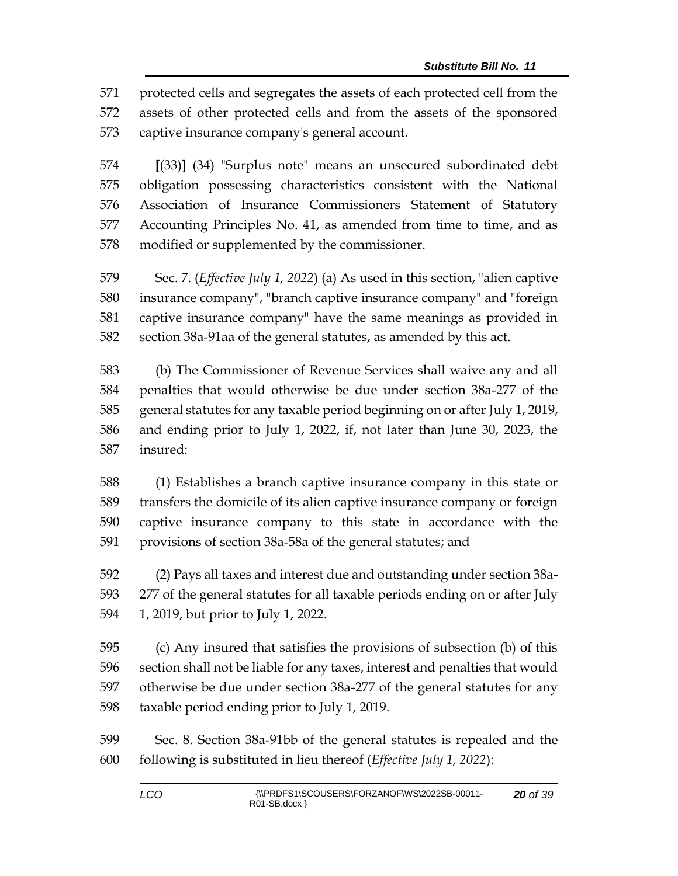protected cells and segregates the assets of each protected cell from the assets of other protected cells and from the assets of the sponsored captive insurance company's general account.

 **[**(33)**]** (34) "Surplus note" means an unsecured subordinated debt obligation possessing characteristics consistent with the National Association of Insurance Commissioners Statement of Statutory Accounting Principles No. 41, as amended from time to time, and as modified or supplemented by the commissioner.

 Sec. 7. (*Effective July 1, 2022*) (a) As used in this section, "alien captive insurance company", "branch captive insurance company" and "foreign captive insurance company" have the same meanings as provided in section 38a-91aa of the general statutes, as amended by this act.

 (b) The Commissioner of Revenue Services shall waive any and all penalties that would otherwise be due under section 38a-277 of the general statutes for any taxable period beginning on or after July 1, 2019, and ending prior to July 1, 2022, if, not later than June 30, 2023, the insured:

 (1) Establishes a branch captive insurance company in this state or transfers the domicile of its alien captive insurance company or foreign captive insurance company to this state in accordance with the provisions of section 38a-58a of the general statutes; and

 (2) Pays all taxes and interest due and outstanding under section 38a- 277 of the general statutes for all taxable periods ending on or after July 1, 2019, but prior to July 1, 2022.

 (c) Any insured that satisfies the provisions of subsection (b) of this section shall not be liable for any taxes, interest and penalties that would otherwise be due under section 38a-277 of the general statutes for any taxable period ending prior to July 1, 2019.

 Sec. 8. Section 38a-91bb of the general statutes is repealed and the following is substituted in lieu thereof (*Effective July 1, 2022*):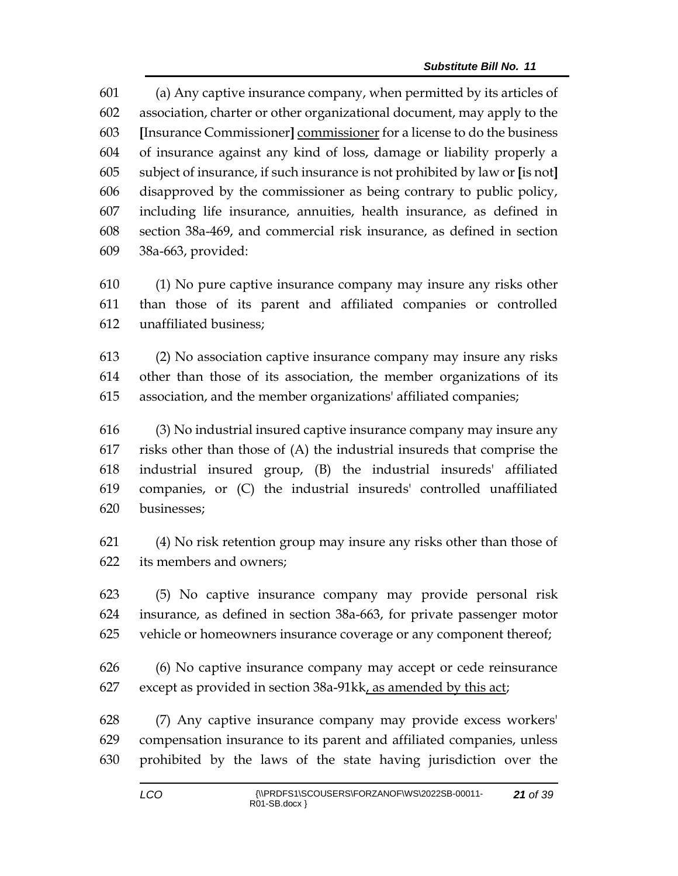(a) Any captive insurance company, when permitted by its articles of association, charter or other organizational document, may apply to the **[**Insurance Commissioner**]** commissioner for a license to do the business of insurance against any kind of loss, damage or liability properly a subject of insurance, if such insurance is not prohibited by law or **[**is not**]** disapproved by the commissioner as being contrary to public policy, including life insurance, annuities, health insurance, as defined in section 38a-469, and commercial risk insurance, as defined in section 38a-663, provided:

 (1) No pure captive insurance company may insure any risks other than those of its parent and affiliated companies or controlled unaffiliated business;

 (2) No association captive insurance company may insure any risks other than those of its association, the member organizations of its association, and the member organizations' affiliated companies;

 (3) No industrial insured captive insurance company may insure any risks other than those of (A) the industrial insureds that comprise the industrial insured group, (B) the industrial insureds' affiliated companies, or (C) the industrial insureds' controlled unaffiliated businesses;

 (4) No risk retention group may insure any risks other than those of its members and owners;

 (5) No captive insurance company may provide personal risk insurance, as defined in section 38a-663, for private passenger motor vehicle or homeowners insurance coverage or any component thereof;

 (6) No captive insurance company may accept or cede reinsurance except as provided in section 38a-91kk, as amended by this act;

 (7) Any captive insurance company may provide excess workers' compensation insurance to its parent and affiliated companies, unless prohibited by the laws of the state having jurisdiction over the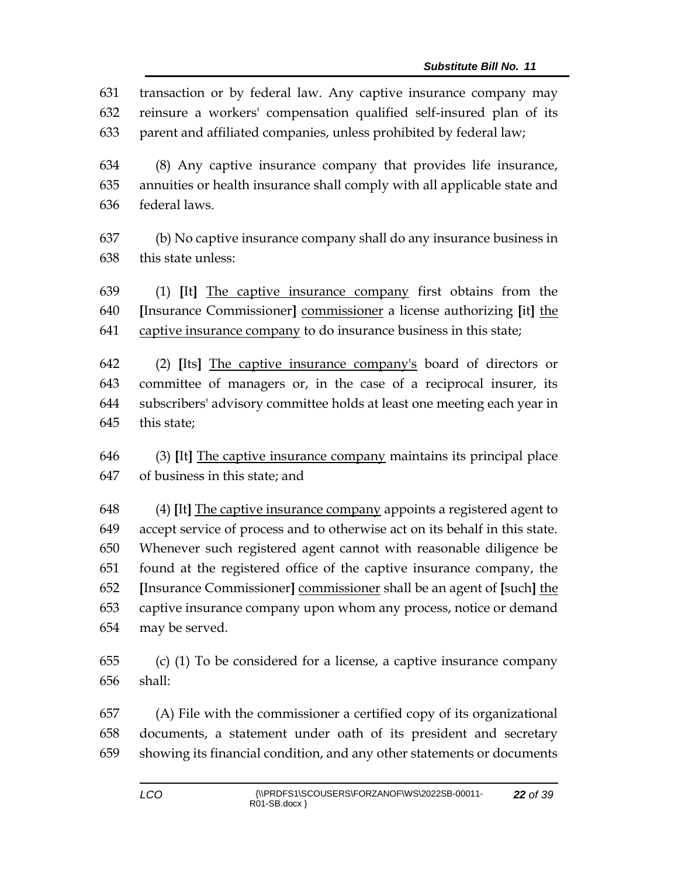transaction or by federal law. Any captive insurance company may reinsure a workers' compensation qualified self-insured plan of its parent and affiliated companies, unless prohibited by federal law;

 (8) Any captive insurance company that provides life insurance, annuities or health insurance shall comply with all applicable state and federal laws.

 (b) No captive insurance company shall do any insurance business in this state unless:

 (1) **[**It**]** The captive insurance company first obtains from the **[**Insurance Commissioner**]** commissioner a license authorizing **[**it**]** the captive insurance company to do insurance business in this state;

 (2) **[**Its**]** The captive insurance company's board of directors or committee of managers or, in the case of a reciprocal insurer, its subscribers' advisory committee holds at least one meeting each year in this state;

 (3) **[**It**]** The captive insurance company maintains its principal place of business in this state; and

 (4) **[**It**]** The captive insurance company appoints a registered agent to accept service of process and to otherwise act on its behalf in this state. Whenever such registered agent cannot with reasonable diligence be found at the registered office of the captive insurance company, the **[**Insurance Commissioner**]** commissioner shall be an agent of **[**such**]** the captive insurance company upon whom any process, notice or demand may be served.

 (c) (1) To be considered for a license, a captive insurance company shall:

 (A) File with the commissioner a certified copy of its organizational documents, a statement under oath of its president and secretary showing its financial condition, and any other statements or documents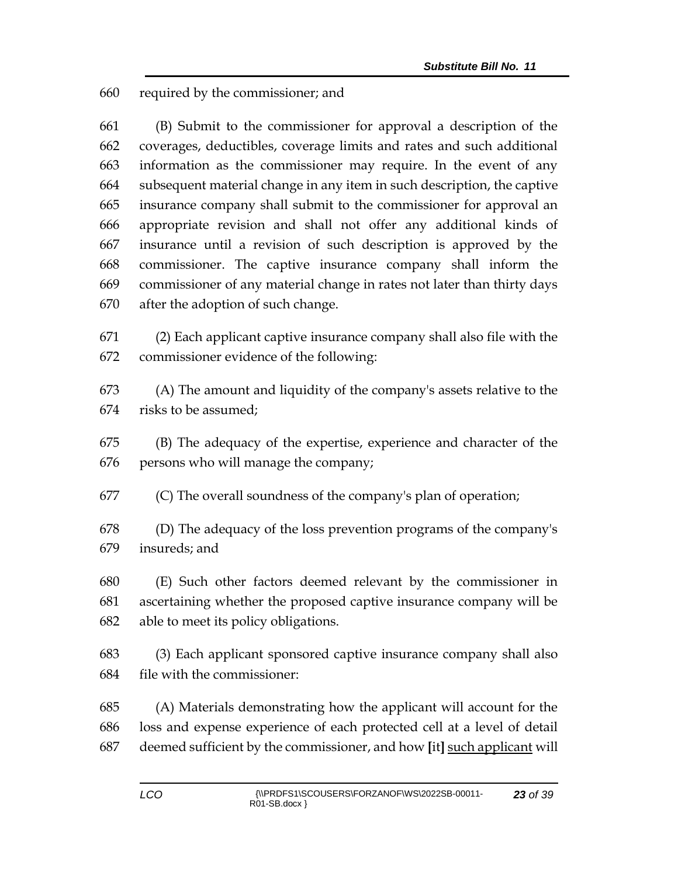required by the commissioner; and

 (B) Submit to the commissioner for approval a description of the coverages, deductibles, coverage limits and rates and such additional information as the commissioner may require. In the event of any subsequent material change in any item in such description, the captive insurance company shall submit to the commissioner for approval an appropriate revision and shall not offer any additional kinds of insurance until a revision of such description is approved by the commissioner. The captive insurance company shall inform the commissioner of any material change in rates not later than thirty days after the adoption of such change.

 (2) Each applicant captive insurance company shall also file with the commissioner evidence of the following:

 (A) The amount and liquidity of the company's assets relative to the risks to be assumed;

 (B) The adequacy of the expertise, experience and character of the persons who will manage the company;

(C) The overall soundness of the company's plan of operation;

 (D) The adequacy of the loss prevention programs of the company's insureds; and

 (E) Such other factors deemed relevant by the commissioner in ascertaining whether the proposed captive insurance company will be able to meet its policy obligations.

 (3) Each applicant sponsored captive insurance company shall also file with the commissioner:

 (A) Materials demonstrating how the applicant will account for the loss and expense experience of each protected cell at a level of detail deemed sufficient by the commissioner, and how **[**it**]** such applicant will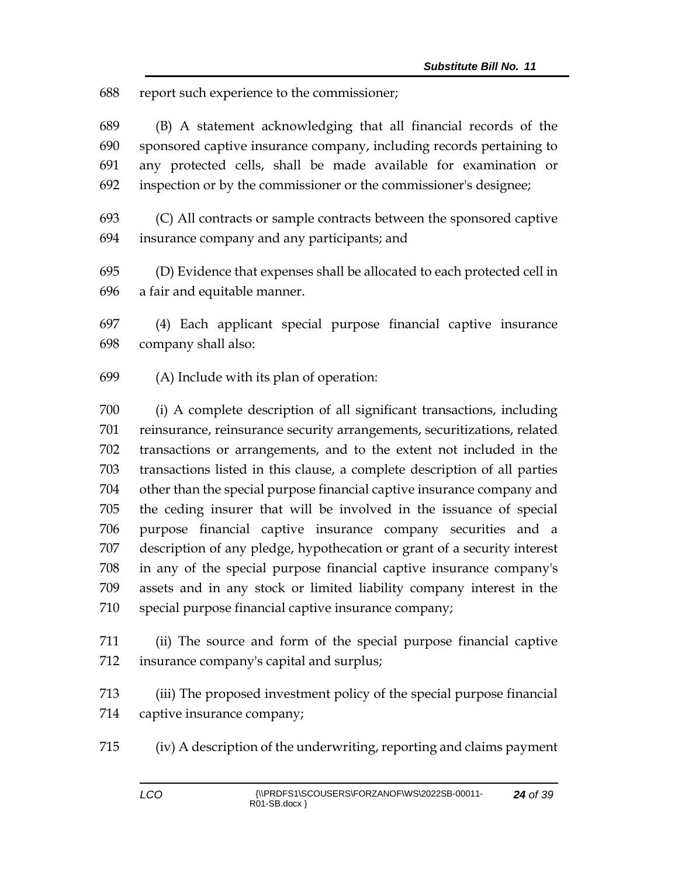report such experience to the commissioner;

 (B) A statement acknowledging that all financial records of the sponsored captive insurance company, including records pertaining to any protected cells, shall be made available for examination or inspection or by the commissioner or the commissioner's designee;

 (C) All contracts or sample contracts between the sponsored captive insurance company and any participants; and

 (D) Evidence that expenses shall be allocated to each protected cell in a fair and equitable manner.

 (4) Each applicant special purpose financial captive insurance company shall also:

(A) Include with its plan of operation:

 (i) A complete description of all significant transactions, including reinsurance, reinsurance security arrangements, securitizations, related transactions or arrangements, and to the extent not included in the transactions listed in this clause, a complete description of all parties other than the special purpose financial captive insurance company and the ceding insurer that will be involved in the issuance of special purpose financial captive insurance company securities and a description of any pledge, hypothecation or grant of a security interest in any of the special purpose financial captive insurance company's assets and in any stock or limited liability company interest in the special purpose financial captive insurance company;

 (ii) The source and form of the special purpose financial captive insurance company's capital and surplus;

 (iii) The proposed investment policy of the special purpose financial captive insurance company;

(iv) A description of the underwriting, reporting and claims payment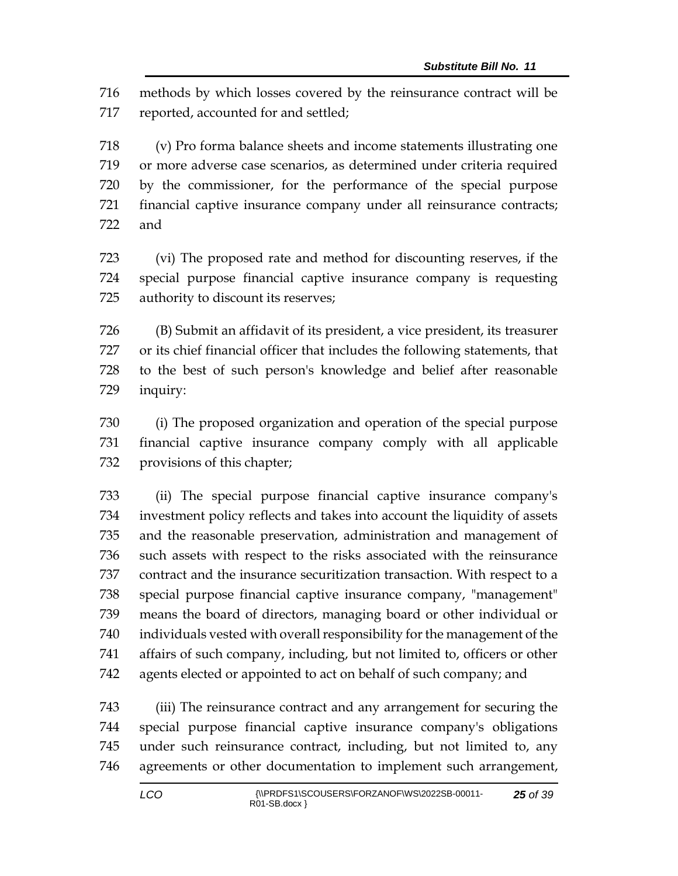methods by which losses covered by the reinsurance contract will be reported, accounted for and settled;

 (v) Pro forma balance sheets and income statements illustrating one or more adverse case scenarios, as determined under criteria required by the commissioner, for the performance of the special purpose financial captive insurance company under all reinsurance contracts; and

 (vi) The proposed rate and method for discounting reserves, if the special purpose financial captive insurance company is requesting authority to discount its reserves;

 (B) Submit an affidavit of its president, a vice president, its treasurer or its chief financial officer that includes the following statements, that to the best of such person's knowledge and belief after reasonable inquiry:

 (i) The proposed organization and operation of the special purpose financial captive insurance company comply with all applicable provisions of this chapter;

 (ii) The special purpose financial captive insurance company's investment policy reflects and takes into account the liquidity of assets and the reasonable preservation, administration and management of such assets with respect to the risks associated with the reinsurance contract and the insurance securitization transaction. With respect to a special purpose financial captive insurance company, "management" means the board of directors, managing board or other individual or individuals vested with overall responsibility for the management of the affairs of such company, including, but not limited to, officers or other agents elected or appointed to act on behalf of such company; and

 (iii) The reinsurance contract and any arrangement for securing the special purpose financial captive insurance company's obligations under such reinsurance contract, including, but not limited to, any agreements or other documentation to implement such arrangement,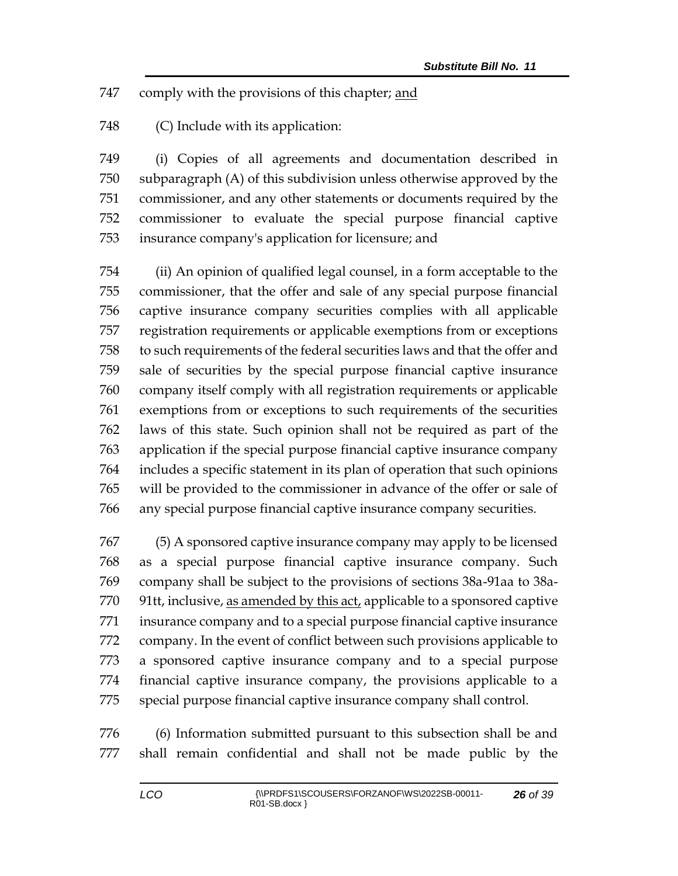comply with the provisions of this chapter; and

(C) Include with its application:

 (i) Copies of all agreements and documentation described in subparagraph (A) of this subdivision unless otherwise approved by the commissioner, and any other statements or documents required by the commissioner to evaluate the special purpose financial captive insurance company's application for licensure; and

 (ii) An opinion of qualified legal counsel, in a form acceptable to the commissioner, that the offer and sale of any special purpose financial captive insurance company securities complies with all applicable registration requirements or applicable exemptions from or exceptions to such requirements of the federal securities laws and that the offer and sale of securities by the special purpose financial captive insurance company itself comply with all registration requirements or applicable exemptions from or exceptions to such requirements of the securities laws of this state. Such opinion shall not be required as part of the application if the special purpose financial captive insurance company includes a specific statement in its plan of operation that such opinions will be provided to the commissioner in advance of the offer or sale of any special purpose financial captive insurance company securities.

 (5) A sponsored captive insurance company may apply to be licensed as a special purpose financial captive insurance company. Such company shall be subject to the provisions of sections 38a-91aa to 38a-770 91tt, inclusive, as amended by this act, applicable to a sponsored captive insurance company and to a special purpose financial captive insurance company. In the event of conflict between such provisions applicable to a sponsored captive insurance company and to a special purpose financial captive insurance company, the provisions applicable to a special purpose financial captive insurance company shall control.

 (6) Information submitted pursuant to this subsection shall be and shall remain confidential and shall not be made public by the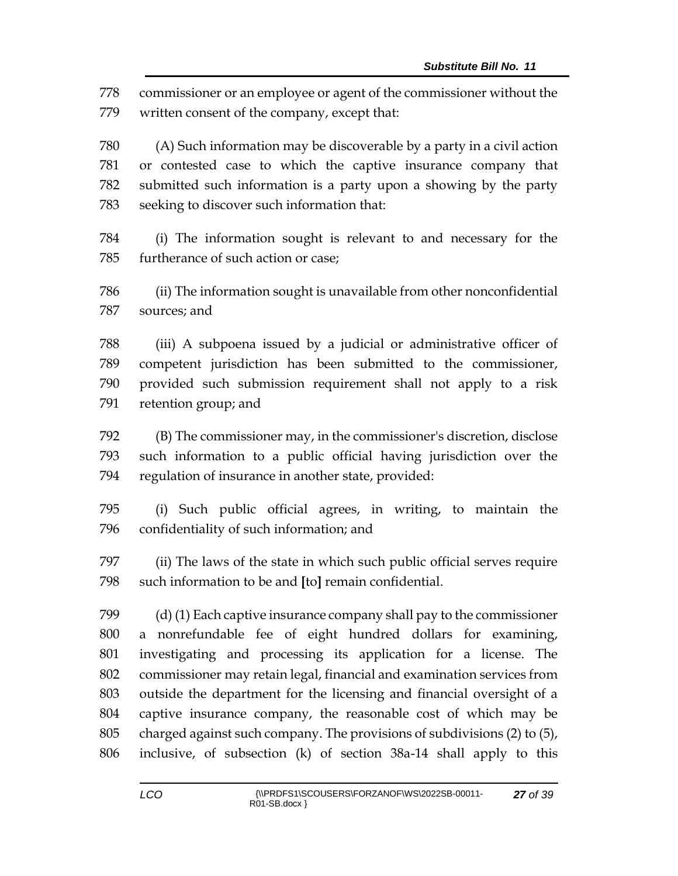commissioner or an employee or agent of the commissioner without the written consent of the company, except that:

 (A) Such information may be discoverable by a party in a civil action or contested case to which the captive insurance company that submitted such information is a party upon a showing by the party seeking to discover such information that:

 (i) The information sought is relevant to and necessary for the furtherance of such action or case;

 (ii) The information sought is unavailable from other nonconfidential sources; and

 (iii) A subpoena issued by a judicial or administrative officer of competent jurisdiction has been submitted to the commissioner, provided such submission requirement shall not apply to a risk retention group; and

 (B) The commissioner may, in the commissioner's discretion, disclose such information to a public official having jurisdiction over the regulation of insurance in another state, provided:

 (i) Such public official agrees, in writing, to maintain the confidentiality of such information; and

 (ii) The laws of the state in which such public official serves require such information to be and **[**to**]** remain confidential.

 (d) (1) Each captive insurance company shall pay to the commissioner a nonrefundable fee of eight hundred dollars for examining, investigating and processing its application for a license. The commissioner may retain legal, financial and examination services from outside the department for the licensing and financial oversight of a captive insurance company, the reasonable cost of which may be charged against such company. The provisions of subdivisions (2) to (5), inclusive, of subsection (k) of section 38a-14 shall apply to this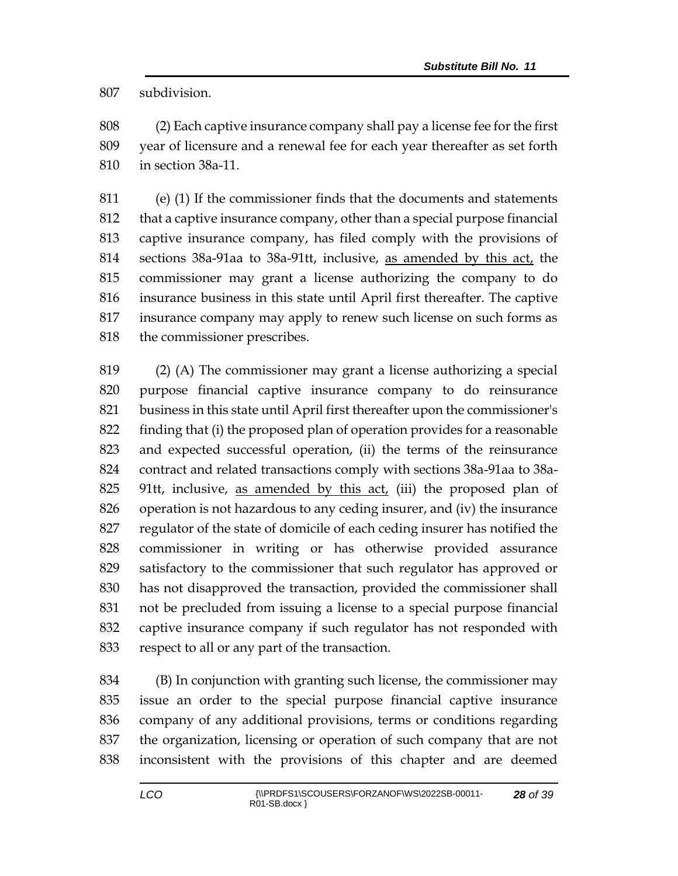subdivision.

 (2) Each captive insurance company shall pay a license fee for the first year of licensure and a renewal fee for each year thereafter as set forth in section 38a-11.

 (e) (1) If the commissioner finds that the documents and statements that a captive insurance company, other than a special purpose financial captive insurance company, has filed comply with the provisions of sections 38a-91aa to 38a-91tt, inclusive, as amended by this act, the commissioner may grant a license authorizing the company to do insurance business in this state until April first thereafter. The captive insurance company may apply to renew such license on such forms as the commissioner prescribes.

 (2) (A) The commissioner may grant a license authorizing a special purpose financial captive insurance company to do reinsurance business in this state until April first thereafter upon the commissioner's finding that (i) the proposed plan of operation provides for a reasonable and expected successful operation, (ii) the terms of the reinsurance contract and related transactions comply with sections 38a-91aa to 38a- 91tt, inclusive, as amended by this act, (iii) the proposed plan of operation is not hazardous to any ceding insurer, and (iv) the insurance regulator of the state of domicile of each ceding insurer has notified the commissioner in writing or has otherwise provided assurance satisfactory to the commissioner that such regulator has approved or has not disapproved the transaction, provided the commissioner shall not be precluded from issuing a license to a special purpose financial captive insurance company if such regulator has not responded with respect to all or any part of the transaction.

 (B) In conjunction with granting such license, the commissioner may issue an order to the special purpose financial captive insurance company of any additional provisions, terms or conditions regarding the organization, licensing or operation of such company that are not inconsistent with the provisions of this chapter and are deemed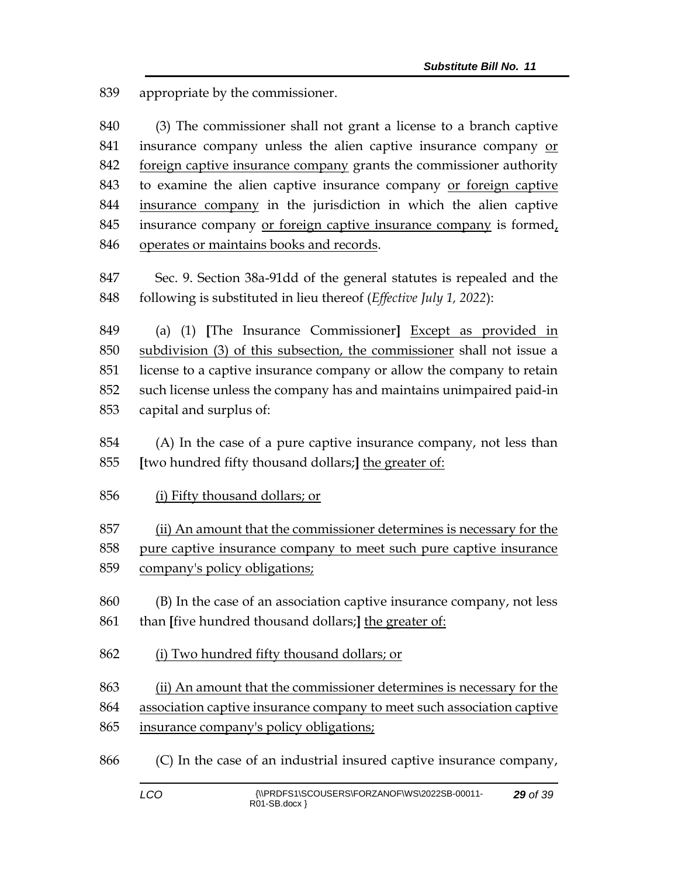appropriate by the commissioner.

 (3) The commissioner shall not grant a license to a branch captive insurance company unless the alien captive insurance company or 842 foreign captive insurance company grants the commissioner authority 843 to examine the alien captive insurance company or foreign captive insurance company in the jurisdiction in which the alien captive insurance company or foreign captive insurance company is formed, operates or maintains books and records.

 Sec. 9. Section 38a-91dd of the general statutes is repealed and the following is substituted in lieu thereof (*Effective July 1, 2022*):

 (a) (1) **[**The Insurance Commissioner**]** Except as provided in subdivision (3) of this subsection, the commissioner shall not issue a license to a captive insurance company or allow the company to retain such license unless the company has and maintains unimpaired paid-in capital and surplus of:

- (A) In the case of a pure captive insurance company, not less than **[**two hundred fifty thousand dollars;**]** the greater of:
- (i) Fifty thousand dollars; or
- (ii) An amount that the commissioner determines is necessary for the pure captive insurance company to meet such pure captive insurance
- company's policy obligations;
- (B) In the case of an association captive insurance company, not less than **[**five hundred thousand dollars;**]** the greater of:
- (i) Two hundred fifty thousand dollars; or

 (ii) An amount that the commissioner determines is necessary for the association captive insurance company to meet such association captive insurance company's policy obligations;

(C) In the case of an industrial insured captive insurance company,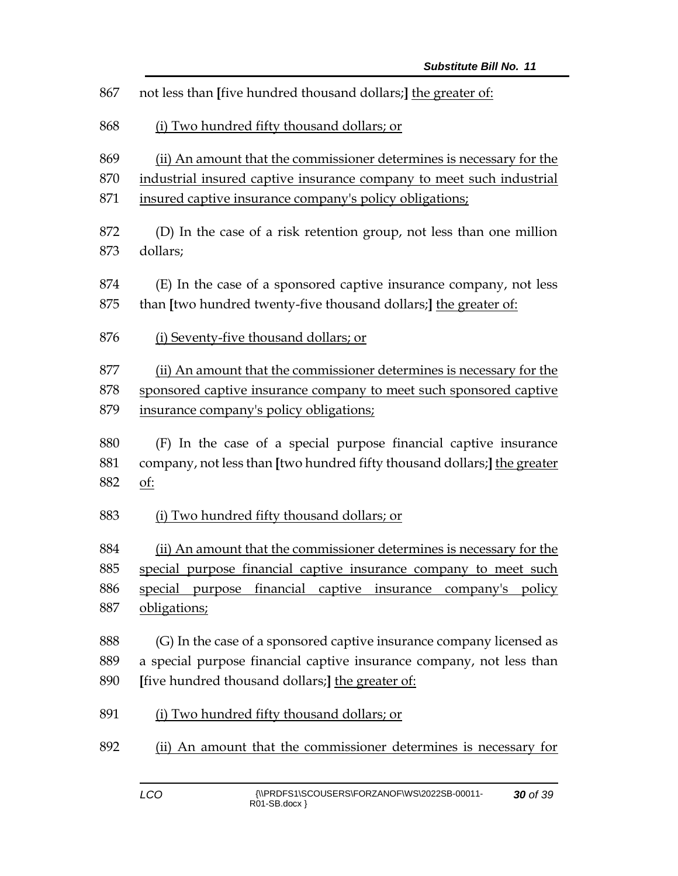| 867 | not less than [five hundred thousand dollars;] the greater of:           |  |  |  |
|-----|--------------------------------------------------------------------------|--|--|--|
| 868 | (i) Two hundred fifty thousand dollars; or                               |  |  |  |
| 869 | (ii) An amount that the commissioner determines is necessary for the     |  |  |  |
| 870 | industrial insured captive insurance company to meet such industrial     |  |  |  |
| 871 | insured captive insurance company's policy obligations;                  |  |  |  |
| 872 | (D) In the case of a risk retention group, not less than one million     |  |  |  |
| 873 | dollars;                                                                 |  |  |  |
| 874 | (E) In the case of a sponsored captive insurance company, not less       |  |  |  |
| 875 | than [two hundred twenty-five thousand dollars;] the greater of:         |  |  |  |
| 876 | (i) Seventy-five thousand dollars; or                                    |  |  |  |
| 877 | (ii) An amount that the commissioner determines is necessary for the     |  |  |  |
| 878 | sponsored captive insurance company to meet such sponsored captive       |  |  |  |
| 879 | insurance company's policy obligations;                                  |  |  |  |
| 880 | (F) In the case of a special purpose financial captive insurance         |  |  |  |
| 881 | company, not less than [two hundred fifty thousand dollars;] the greater |  |  |  |
| 882 | <u>of:</u>                                                               |  |  |  |
| 883 | (i) Two hundred fifty thousand dollars; or                               |  |  |  |
| 884 | (ii) An amount that the commissioner determines is necessary for the     |  |  |  |
| 885 | special purpose financial captive insurance company to meet such         |  |  |  |
| 886 | special purpose financial captive insurance company's policy             |  |  |  |
| 887 | obligations;                                                             |  |  |  |
| 888 | (G) In the case of a sponsored captive insurance company licensed as     |  |  |  |
| 889 | a special purpose financial captive insurance company, not less than     |  |  |  |
| 890 | [five hundred thousand dollars;] the greater of:                         |  |  |  |
| 891 | (i) Two hundred fifty thousand dollars; or                               |  |  |  |
| 892 | (ii) An amount that the commissioner determines is necessary for         |  |  |  |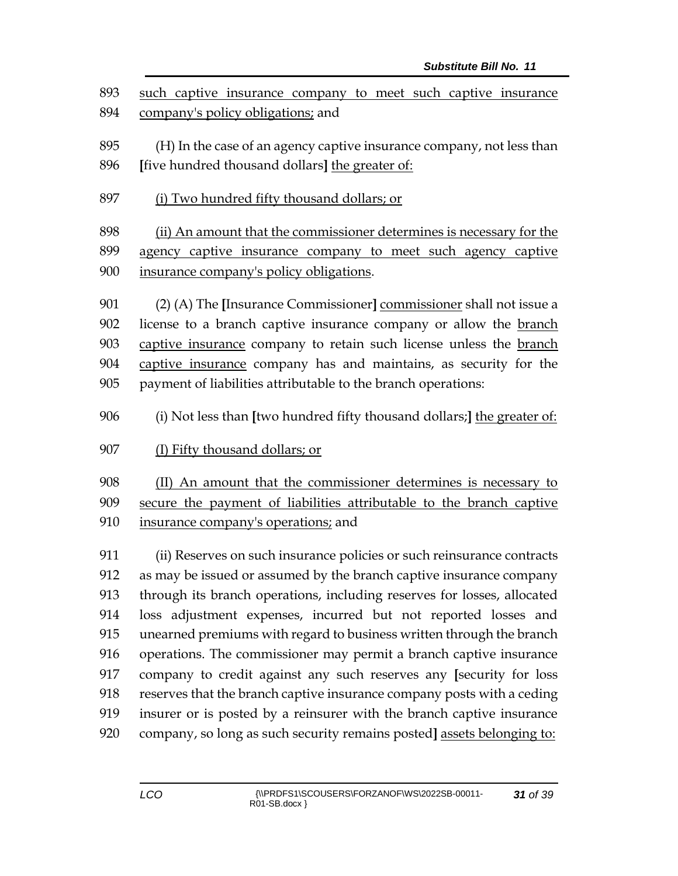such captive insurance company to meet such captive insurance company's policy obligations; and

 (H) In the case of an agency captive insurance company, not less than **[**five hundred thousand dollars**]** the greater of:

(i) Two hundred fifty thousand dollars; or

 (ii) An amount that the commissioner determines is necessary for the agency captive insurance company to meet such agency captive insurance company's policy obligations.

 (2) (A) The **[**Insurance Commissioner**]** commissioner shall not issue a license to a branch captive insurance company or allow the branch captive insurance company to retain such license unless the branch 904 captive insurance company has and maintains, as security for the payment of liabilities attributable to the branch operations:

- (i) Not less than **[**two hundred fifty thousand dollars;**]** the greater of:
- (I) Fifty thousand dollars; or

 (II) An amount that the commissioner determines is necessary to secure the payment of liabilities attributable to the branch captive insurance company's operations; and

 (ii) Reserves on such insurance policies or such reinsurance contracts as may be issued or assumed by the branch captive insurance company through its branch operations, including reserves for losses, allocated loss adjustment expenses, incurred but not reported losses and unearned premiums with regard to business written through the branch operations. The commissioner may permit a branch captive insurance company to credit against any such reserves any **[**security for loss reserves that the branch captive insurance company posts with a ceding insurer or is posted by a reinsurer with the branch captive insurance company, so long as such security remains posted**]** assets belonging to: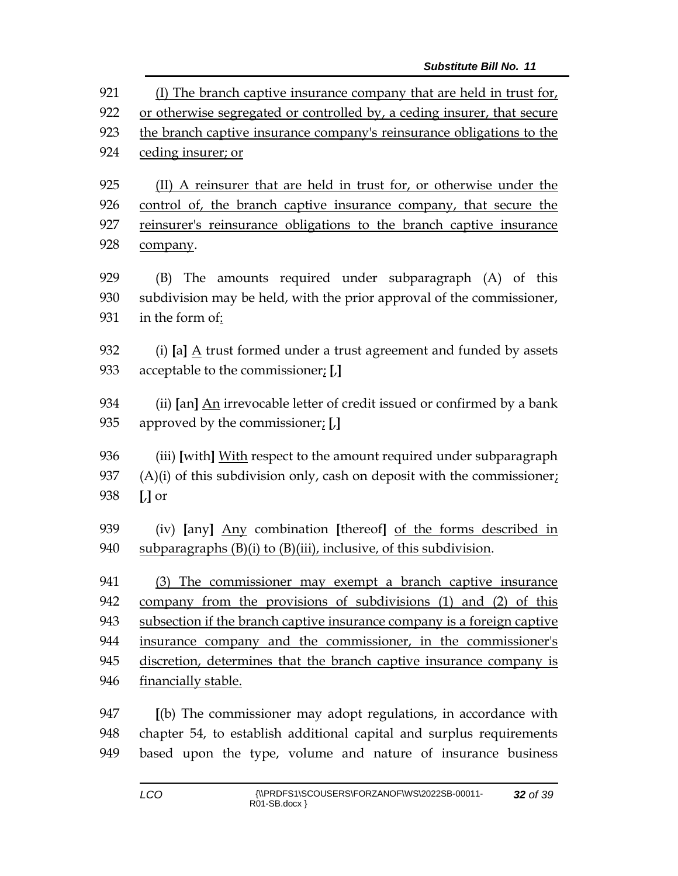(I) The branch captive insurance company that are held in trust for, or otherwise segregated or controlled by, a ceding insurer, that secure the branch captive insurance company's reinsurance obligations to the ceding insurer; or (II) A reinsurer that are held in trust for, or otherwise under the 926 control of, the branch captive insurance company, that secure the reinsurer's reinsurance obligations to the branch captive insurance company. (B) The amounts required under subparagraph (A) of this subdivision may be held, with the prior approval of the commissioner, in the form of: (i) **[**a**]** A trust formed under a trust agreement and funded by assets acceptable to the commissioner; **[**,**]** (ii) **[**an**]** An irrevocable letter of credit issued or confirmed by a bank approved by the commissioner; **[**,**]** (iii) **[**with**]** With respect to the amount required under subparagraph  $(A)(i)$  of this subdivision only, cash on deposit with the commissioner; **[**,**]** or (iv) **[**any**]** Any combination **[**thereof**]** of the forms described in 940 subparagraphs  $(B)(i)$  to  $(B)(iii)$ , inclusive, of this subdivision. (3) The commissioner may exempt a branch captive insurance company from the provisions of subdivisions (1) and (2) of this subsection if the branch captive insurance company is a foreign captive insurance company and the commissioner, in the commissioner's discretion, determines that the branch captive insurance company is financially stable. **[**(b) The commissioner may adopt regulations, in accordance with chapter 54, to establish additional capital and surplus requirements

based upon the type, volume and nature of insurance business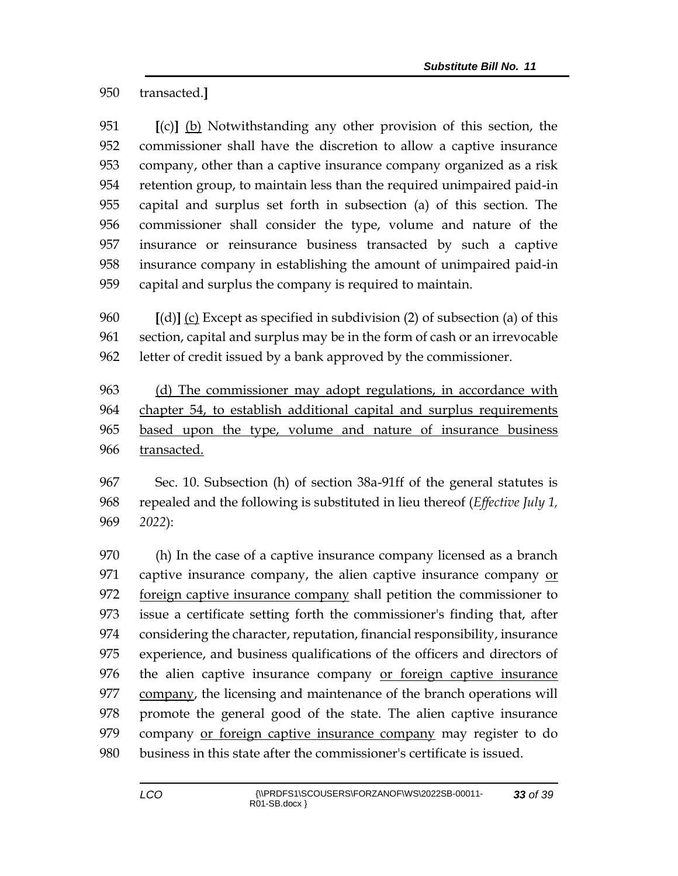transacted.**]**

 **[**(c)**]** (b) Notwithstanding any other provision of this section, the commissioner shall have the discretion to allow a captive insurance company, other than a captive insurance company organized as a risk retention group, to maintain less than the required unimpaired paid-in capital and surplus set forth in subsection (a) of this section. The commissioner shall consider the type, volume and nature of the insurance or reinsurance business transacted by such a captive insurance company in establishing the amount of unimpaired paid-in capital and surplus the company is required to maintain.

 **[**(d)**]** (c) Except as specified in subdivision (2) of subsection (a) of this section, capital and surplus may be in the form of cash or an irrevocable letter of credit issued by a bank approved by the commissioner.

 (d) The commissioner may adopt regulations, in accordance with chapter 54, to establish additional capital and surplus requirements based upon the type, volume and nature of insurance business transacted.

 Sec. 10. Subsection (h) of section 38a-91ff of the general statutes is repealed and the following is substituted in lieu thereof (*Effective July 1, 2022*):

 (h) In the case of a captive insurance company licensed as a branch captive insurance company, the alien captive insurance company or 972 foreign captive insurance company shall petition the commissioner to issue a certificate setting forth the commissioner's finding that, after considering the character, reputation, financial responsibility, insurance experience, and business qualifications of the officers and directors of the alien captive insurance company or foreign captive insurance company, the licensing and maintenance of the branch operations will promote the general good of the state. The alien captive insurance 979 company or foreign captive insurance company may register to do business in this state after the commissioner's certificate is issued.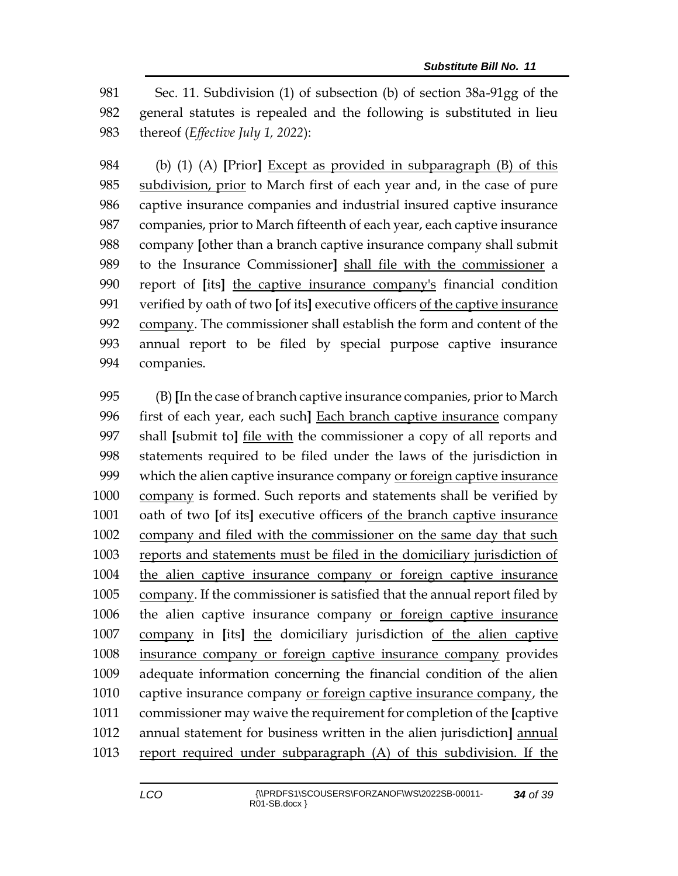Sec. 11. Subdivision (1) of subsection (b) of section 38a-91gg of the general statutes is repealed and the following is substituted in lieu thereof (*Effective July 1, 2022*):

 (b) (1) (A) **[**Prior**]** Except as provided in subparagraph (B) of this 985 subdivision, prior to March first of each year and, in the case of pure captive insurance companies and industrial insured captive insurance companies, prior to March fifteenth of each year, each captive insurance company **[**other than a branch captive insurance company shall submit to the Insurance Commissioner**]** shall file with the commissioner a report of **[**its**]** the captive insurance company's financial condition verified by oath of two **[**of its**]** executive officers of the captive insurance company. The commissioner shall establish the form and content of the annual report to be filed by special purpose captive insurance companies.

 (B) **[**In the case of branch captive insurance companies, prior to March first of each year, each such**]** Each branch captive insurance company shall **[**submit to**]** file with the commissioner a copy of all reports and statements required to be filed under the laws of the jurisdiction in which the alien captive insurance company or foreign captive insurance company is formed. Such reports and statements shall be verified by oath of two **[**of its**]** executive officers of the branch captive insurance company and filed with the commissioner on the same day that such reports and statements must be filed in the domiciliary jurisdiction of the alien captive insurance company or foreign captive insurance company. If the commissioner is satisfied that the annual report filed by the alien captive insurance company or foreign captive insurance company in **[**its**]** the domiciliary jurisdiction of the alien captive insurance company or foreign captive insurance company provides adequate information concerning the financial condition of the alien captive insurance company or foreign captive insurance company, the commissioner may waive the requirement for completion of the **[**captive annual statement for business written in the alien jurisdiction**]** annual report required under subparagraph (A) of this subdivision. If the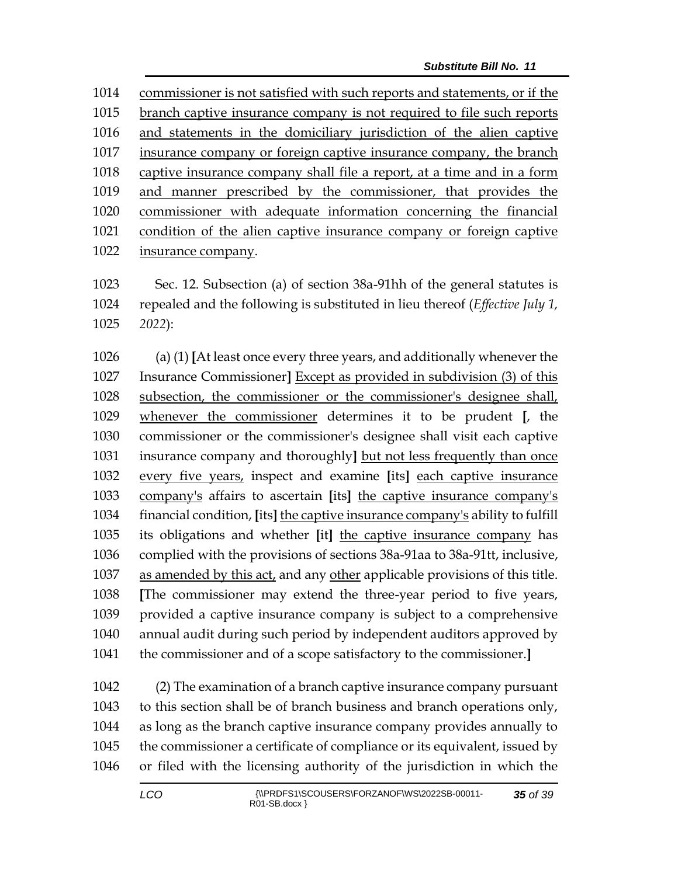commissioner is not satisfied with such reports and statements, or if the branch captive insurance company is not required to file such reports and statements in the domiciliary jurisdiction of the alien captive 1017 insurance company or foreign captive insurance company, the branch captive insurance company shall file a report, at a time and in a form and manner prescribed by the commissioner, that provides the commissioner with adequate information concerning the financial condition of the alien captive insurance company or foreign captive insurance company.

 Sec. 12. Subsection (a) of section 38a-91hh of the general statutes is repealed and the following is substituted in lieu thereof (*Effective July 1, 2022*):

 (a) (1) **[**At least once every three years, and additionally whenever the Insurance Commissioner**]** Except as provided in subdivision (3) of this subsection, the commissioner or the commissioner's designee shall, whenever the commissioner determines it to be prudent **[**, the commissioner or the commissioner's designee shall visit each captive insurance company and thoroughly**]** but not less frequently than once every five years, inspect and examine **[**its**]** each captive insurance company's affairs to ascertain **[**its**]** the captive insurance company's financial condition, **[**its**]** the captive insurance company's ability to fulfill its obligations and whether **[**it**]** the captive insurance company has complied with the provisions of sections 38a-91aa to 38a-91tt, inclusive, as amended by this act, and any other applicable provisions of this title. **[**The commissioner may extend the three-year period to five years, provided a captive insurance company is subject to a comprehensive annual audit during such period by independent auditors approved by the commissioner and of a scope satisfactory to the commissioner.**]**

 (2) The examination of a branch captive insurance company pursuant to this section shall be of branch business and branch operations only, as long as the branch captive insurance company provides annually to the commissioner a certificate of compliance or its equivalent, issued by or filed with the licensing authority of the jurisdiction in which the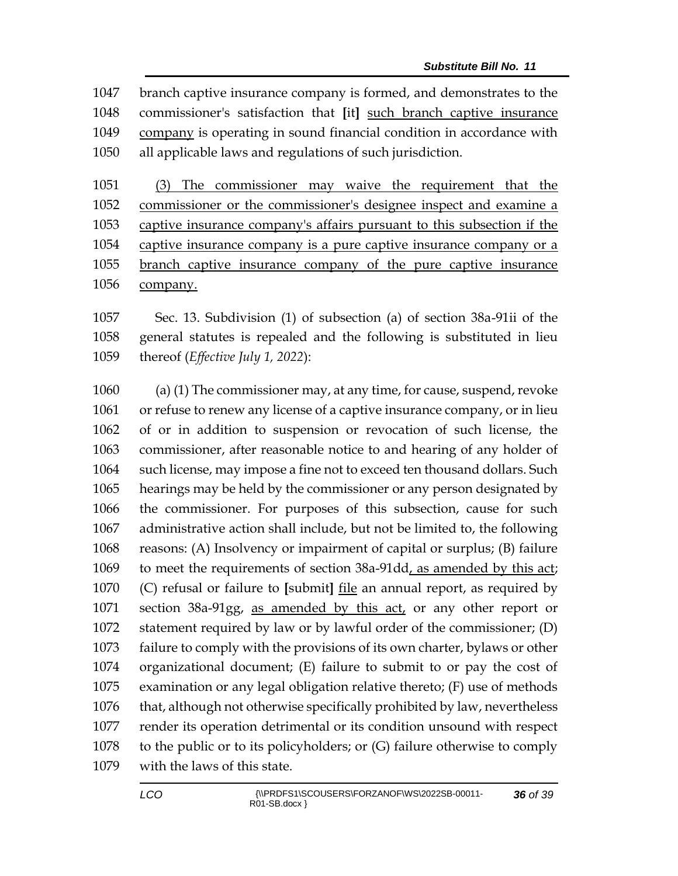branch captive insurance company is formed, and demonstrates to the commissioner's satisfaction that **[**it**]** such branch captive insurance company is operating in sound financial condition in accordance with all applicable laws and regulations of such jurisdiction.

 (3) The commissioner may waive the requirement that the commissioner or the commissioner's designee inspect and examine a captive insurance company's affairs pursuant to this subsection if the captive insurance company is a pure captive insurance company or a branch captive insurance company of the pure captive insurance company.

 Sec. 13. Subdivision (1) of subsection (a) of section 38a-91ii of the general statutes is repealed and the following is substituted in lieu thereof (*Effective July 1, 2022*):

 (a) (1) The commissioner may, at any time, for cause, suspend, revoke or refuse to renew any license of a captive insurance company, or in lieu of or in addition to suspension or revocation of such license, the commissioner, after reasonable notice to and hearing of any holder of such license, may impose a fine not to exceed ten thousand dollars. Such hearings may be held by the commissioner or any person designated by the commissioner. For purposes of this subsection, cause for such administrative action shall include, but not be limited to, the following reasons: (A) Insolvency or impairment of capital or surplus; (B) failure to meet the requirements of section 38a-91dd, as amended by this act; (C) refusal or failure to **[**submit**]** file an annual report, as required by section 38a-91gg, as amended by this act, or any other report or statement required by law or by lawful order of the commissioner; (D) failure to comply with the provisions of its own charter, bylaws or other organizational document; (E) failure to submit to or pay the cost of examination or any legal obligation relative thereto; (F) use of methods that, although not otherwise specifically prohibited by law, nevertheless render its operation detrimental or its condition unsound with respect to the public or to its policyholders; or (G) failure otherwise to comply with the laws of this state.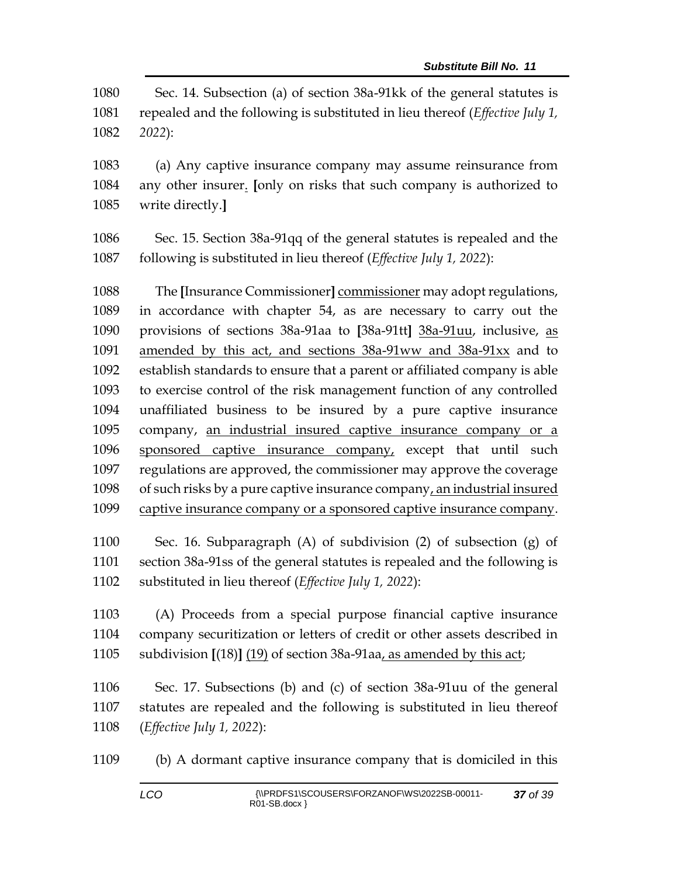Sec. 14. Subsection (a) of section 38a-91kk of the general statutes is repealed and the following is substituted in lieu thereof (*Effective July 1, 2022*):

 (a) Any captive insurance company may assume reinsurance from any other insurer. **[**only on risks that such company is authorized to write directly.**]**

 Sec. 15. Section 38a-91qq of the general statutes is repealed and the following is substituted in lieu thereof (*Effective July 1, 2022*):

 The **[**Insurance Commissioner**]** commissioner may adopt regulations, in accordance with chapter 54, as are necessary to carry out the provisions of sections 38a-91aa to **[**38a-91tt**]** 38a-91uu, inclusive, as amended by this act, and sections 38a-91ww and 38a-91xx and to establish standards to ensure that a parent or affiliated company is able to exercise control of the risk management function of any controlled unaffiliated business to be insured by a pure captive insurance company, an industrial insured captive insurance company or a sponsored captive insurance company, except that until such regulations are approved, the commissioner may approve the coverage of such risks by a pure captive insurance company, an industrial insured captive insurance company or a sponsored captive insurance company.

 Sec. 16. Subparagraph (A) of subdivision (2) of subsection (g) of section 38a-91ss of the general statutes is repealed and the following is substituted in lieu thereof (*Effective July 1, 2022*):

 (A) Proceeds from a special purpose financial captive insurance company securitization or letters of credit or other assets described in subdivision **[**(18)**]** (19) of section 38a-91aa, as amended by this act;

 Sec. 17. Subsections (b) and (c) of section 38a-91uu of the general statutes are repealed and the following is substituted in lieu thereof (*Effective July 1, 2022*):

(b) A dormant captive insurance company that is domiciled in this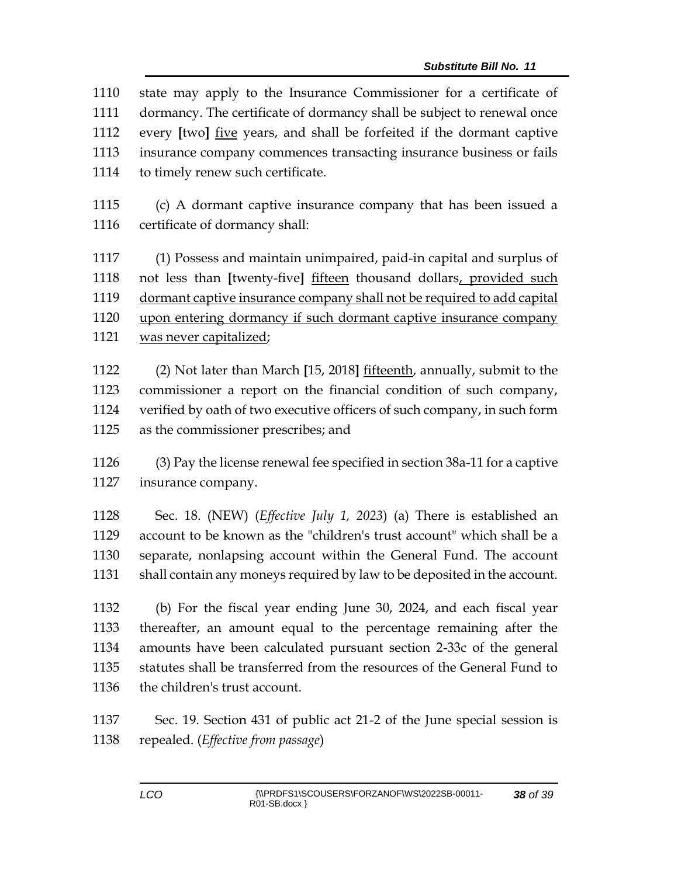| 1110 | state may apply to the Insurance Commissioner for a certificate of     |  |
|------|------------------------------------------------------------------------|--|
| 1111 | dormancy. The certificate of dormancy shall be subject to renewal once |  |
| 1112 | every [two] five years, and shall be forfeited if the dormant captive  |  |
| 1113 | insurance company commences transacting insurance business or fails    |  |
| 1114 | to timely renew such certificate.                                      |  |
|      |                                                                        |  |

 (c) A dormant captive insurance company that has been issued a certificate of dormancy shall:

 (1) Possess and maintain unimpaired, paid-in capital and surplus of not less than **[**twenty-five**]** fifteen thousand dollars, provided such dormant captive insurance company shall not be required to add capital upon entering dormancy if such dormant captive insurance company was never capitalized;

 (2) Not later than March **[**15, 2018**]** fifteenth, annually, submit to the commissioner a report on the financial condition of such company, verified by oath of two executive officers of such company, in such form as the commissioner prescribes; and

 (3) Pay the license renewal fee specified in section 38a-11 for a captive insurance company.

 Sec. 18. (NEW) (*Effective July 1, 2023*) (a) There is established an account to be known as the "children's trust account" which shall be a separate, nonlapsing account within the General Fund. The account shall contain any moneys required by law to be deposited in the account.

 (b) For the fiscal year ending June 30, 2024, and each fiscal year thereafter, an amount equal to the percentage remaining after the amounts have been calculated pursuant section 2-33c of the general statutes shall be transferred from the resources of the General Fund to the children's trust account.

 Sec. 19. Section 431 of public act 21-2 of the June special session is repealed. (*Effective from passage*)